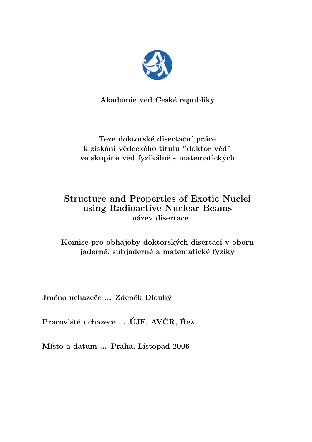

Akademie věd České republiky

Teze doktorské disertační práce k získání vědeckého titulu "doktor věd" ve skupině věd fyzikálně - matematických

# Structure and Properties of Exotic Nuclei using Radioactive Nuclear Beams název disertace

Komise pro obhajoby doktorských disertací v oboru jaderné, subjaderné a matematické fyziky

Jméno uchazeče ... Zdeněk Dlouhý

Pracoviště uchazeče ... ÚJF, AVČR, Řež

Místo a datum ... Praha, Listopad 2006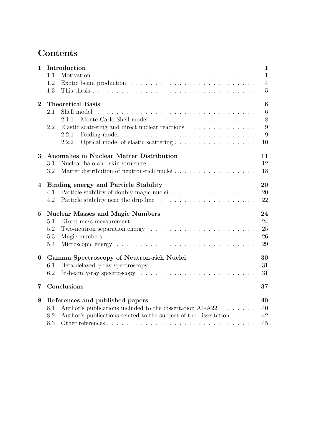# **Contents**

| 1              | Introduction                                                                                | $\mathbf{1}$     |
|----------------|---------------------------------------------------------------------------------------------|------------------|
|                | 1.1                                                                                         | $\mathbf{1}$     |
|                | 1.2                                                                                         | $\overline{4}$   |
|                | 1.3                                                                                         | $\overline{5}$   |
| $\overline{2}$ | <b>Theoretical Basis</b>                                                                    | $\boldsymbol{6}$ |
|                | Shell model<br>2.1                                                                          | $\boldsymbol{6}$ |
|                | 2.1.1                                                                                       | 8                |
|                | Elastic scattering and direct nuclear reactions $\ldots \ldots \ldots \ldots \ldots$<br>2.2 | 9                |
|                | 2.2.1                                                                                       | 9                |
|                | Optical model of elastic scattering<br>2.2.2                                                | 10               |
| 3              | Anomalies in Nuclear Matter Distribution                                                    | 11               |
|                | 3.1                                                                                         | 12               |
|                | 3.2                                                                                         | 18               |
| 4              | <b>Binding energy and Particle Stability</b>                                                | 20               |
|                | Particle stability of doubly-magic nuclei<br>4.1                                            | 20               |
|                | 4.2                                                                                         | 22               |
| $\overline{5}$ | <b>Nuclear Masses and Magic Numbers</b>                                                     | 24               |
|                | 5.1<br>Direct mass measurement                                                              | 24               |
|                | 5.2<br>Two-neutron separation energy $\dots \dots \dots \dots \dots \dots \dots \dots$      | 25               |
|                | 5.3                                                                                         | 26               |
|                | 5.4                                                                                         | 29               |
| 6              | Gamma Spectroscopy of Neutron-rich Nuclei                                                   | 30               |
|                | 6.1                                                                                         | 31               |
|                | 6.2                                                                                         | 31               |
| $\overline{7}$ | Conclusions                                                                                 | 37               |
| 8              | References and published papers                                                             | 40               |
|                | Author's publications included to the dissertation A1-A22<br>8.1                            | 40               |
|                | Author's publications related to the subject of the dissertation<br>8.2                     | 42               |
|                | 8.3                                                                                         | 45               |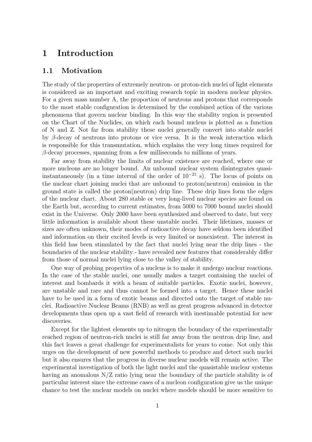## 1 Introduction

### 1.1 Motivation

The study of the properties of extremely neutron- or proton-rich nuclei of light elements is considered as an important and exciting research topic in modern nuclear physics. For a given mass number A, the proportion of neutrons and protons that corresponds to the most stable configuration is determined by the combined action of the various phenomena that govern nuclear binding. In this way the stability region is presented on the Chart of the Nuclides, on which each bound nucleus is plotted as a function of N and Z. Not far from stability these nuclei generally convert into stable nuclei by  $\beta$ -decay of neutrons into protons or vice versa. It is the weak interaction which is responsible for this transmutation, which explains the very long times required for  $\beta$ -decay processes, spanning from a few milliseconds to millions of years.

Far away from stability the limits of nuclear existence are reached, where one or more nucleons are no longer bound. An unbound nuclear system disintegrates quasiinstantaneously (in a time interval of the order of  $10^{-21}$  s). The locus of points on the nuclear chart joining nuclei that are unbound to proton(neutron) emission in the ground state is called the proton(neutron) drip line. These drip lines form the edges of the nuclear chart. About 280 stable or very long-lived nuclear species are found on the Earth but, according to current estimates, from 5000 to 7000 bound nuclei should exist in the Universe. Only 2000 have been synthesized and observed to date, but very little information is available about these unstable nuclei. Their lifetimes, masses or sizes are often unknown, their modes of radioactive decay have seldom been identified and information on their excited levels is very limited or nonexistent. The interest in this field has been stimulated by the fact that nuclei lying near the drip lines - the boundaries of the nuclear stability - have revealed new features that considerably differ from those of normal nuclei lying close to the valley of stability.

One way of probing properties of a nucleus is to make it undergo nuclear reactions. In the case of the stable nuclei, one usually makes a target containing the nuclei of interest and bombards it with a beam of suitable particles. Exotic nuclei, however, are unstable and rare and thus cannot be formed into a target. Hence these nuclei have to be used in a form of exotic beams and directed onto the target of stable nuclei. Radioactive Nuclear Beams (RNB) as well as great progress advanced in detector developments thus open up a vast field of research with inestimable potential for new discoveries.

Except for the lightest elements up to nitrogen the boundary of the experimentally reached region of neutron-rich nuclei is still far away from the neutron drip line, and this fact leaves a great challenge for experimentalists for years to come. Not only this urges on the development of new powerful methods to produce and detect such nuclei but it also ensures that the progress in diverse nuclear models will remain active. The experimental investigation of both the light nuclei and the quasistable nuclear systems having an anomalous N/Z ratio lying near the boundary of the particle stability is of particular interest since the extreme cases of a nucleon configuration give us the unique chance to test the nuclear models on nuclei where models should be more sensitive to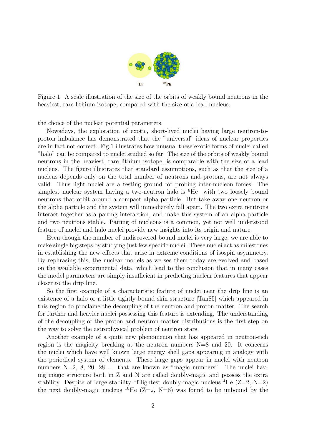

Figure 1: A scale illustration of the size of the orbits of weakly bound neutrons in the heaviest, rare lithium isotope, compared with the size of a lead nucleus.

the choice of the nuclear potential parameters.

Nowadays, the exploration of exotic, short-lived nuclei having large neutron-toproton imbalance has demonstrated that the "universal" ideas of nuclear properties are in fact not correct. Fig.1 illustrates how unusual these exotic forms of nuclei called "halo" can be compared to nuclei studied so far. The size of the orbits of weakly bound neutrons in the heaviest, rare lithium isotope, is comparable with the size of a lead nucleus. The figure illustrates that standard assumptions, such as that the size of a nucleus depends only on the total number of neutrons and protons, are not always valid. Thus light nuclei are a testing ground for probing inter-nucleon forces. The simplest nuclear system having a two-neutron halo is  ${}^{6}$ He with two loosely bound neutrons that orbit around a compact alpha particle. But take away one neutron or the alpha particle and the system will immediately fall apart. The two extra neutrons interact together as a pairing interaction, and make this system of an alpha particle and two neutrons stable. Pairing of nucleons is a common, yet not well understood feature of nuclei and halo nuclei provide new insights into its origin and nature.

Even though the number of undiscovered bound nuclei is very large, we are able to make single big steps by studying just few specific nuclei. These nuclei act as milestones in establishing the new effects that arise in extreme conditions of isospin asymmetry. By rephrasing this, the nuclear models as we see them today are evolved and based on the available experimental data, which lead to the conclusion that in many cases the model parameters are simply insufficient in predicting nuclear features that appear closer to the drip line.

So the first example of a characteristic feature of nuclei near the drip line is an existence of a halo or a little tightly bound skin structure [Tan85] which appeared in this region to proclame the decoupling of the neutron and proton matter. The search for further and heavier nuclei possessing this feature is extending. The understanding of the decoupling of the proton and neutron matter distributions is the first step on the way to solve the astrophysical problem of neutron stars.

Another example of a quite new phenomenon that has appeared in neutron-rich region is the magicity breaking at the neutron numbers N=8 and 20. It concerns the nuclei which have well known large energy shell gaps appearing in analogy with the periodical system of elements. These large gaps appear in nuclei with neutron numbers N=2, 8, 20, 28 ... that are known as "magic numbers". The nuclei having magic structure both in Z and N are called doubly-magic and possess the extra stability. Despite of large stability of lightest doubly-magic nucleus  ${}^{4}$ He (Z=2, N=2) the next doubly-magic nucleus <sup>10</sup>He ( $Z=2$ , N=8) was found to be unbound by the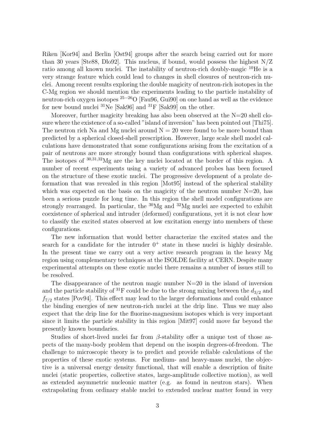Riken [Kor94] and Berlin [Ost94] groups after the search being carried out for more than 30 years [Ste88, Dlo92]. This nucleus, if bound, would possess the highest N/Z ratio among all known nuclei. The instability of neutron-rich doubly-magic <sup>10</sup>He is a very strange feature which could lead to changes in shell closures of neutron-rich nuclei. Among recent results exploring the double magicity of neutron-rich isotopes in the C-Mg region we should mention the experiments leading to the particle instability of neutron-rich oxygen isotopes <sup>25−26</sup>O [Fau96, Gui90] on one hand as well as the evidence for new bound nuclei  ${}^{31}$ Ne [Sak96] and  ${}^{31}$ F [Sak99] on the other.

Moreover, further magicity breaking has also been observed at the  $N=20$  shell closure where the existence of a so-called "island of inversion" has been pointed out [Thi75]. The neutron rich Na and Mg nuclei around  $N = 20$  were found to be more bound than predicted by a spherical closed-shell prescription. However, large scale shell model calculations have demonstrated that some configurations arising from the excitation of a pair of neutrons are more strongly bound than configurations with spherical shapes. The isotopes of <sup>30</sup>,31,<sup>32</sup>Mg are the key nuclei located at the border of this region. A number of recent experiments using a variety of advanced probes has been focused on the structure of these exotic nuclei. The progressive development of a prolate deformation that was revealed in this region [Mot95] instead of the spherical stability which was expected on the basis on the magicity of the neutron number  $N=20$ , has been a serious puzzle for long time. In this region the shell model configurations are strongly rearranged. In particular, the  $\rm{^{30}Mg}$  and  $\rm{^{32}Mg}$  nuclei are expected to exhibit coexistence of spherical and intruder (deformed) configurations, yet it is not clear how to classify the excited states observed at low excitation energy into members of these configurations.

The new information that would better characterize the excited states and the search for a candidate for the intruder  $0^+$  state in these nuclei is highly desirable. In the present time we carry out a very active research program in the heavy Mg region using complementary techniques at the ISOLDE facility at CERN. Despite many experimental attempts on these exotic nuclei there remains a number of issues still to be resolved.

The disappearance of the neutron magic number  $N=20$  in the island of inversion and the particle stability of <sup>31</sup>F could be due to the strong mixing between the  $d_{3/2}$  and  $f_{7/2}$  states [Pov94]. This effect may lead to the larger deformations and could enhance the binding energies of new neutron-rich nuclei at the drip line. Thus we may also expect that the drip line for the fluorine-magnesium isotopes which is very important since it limits the particle stability in this region [Mit97] could move far beyond the presently known boundaries.

Studies of short-lived nuclei far from  $\beta$ -stability offer a unique test of those aspects of the many-body problem that depend on the isospin degrees-of-freedom. The challenge to microscopic theory is to predict and provide reliable calculations of the properties of these exotic systems. For medium- and heavy-mass nuclei, the objective is a universal energy density functional, that will enable a description of finite nuclei (static properties, collective states, large-amplitude collective motion), as well as extended asymmetric nucleonic matter (e.g. as found in neutron stars). When extrapolating from ordinary stable nuclei to extended nuclear matter found in very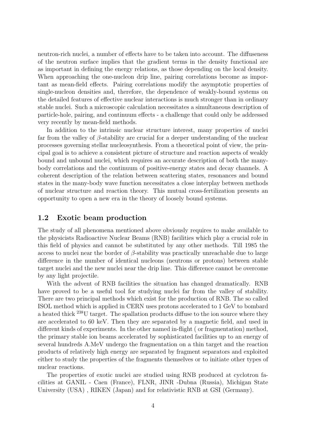neutron-rich nuclei, a number of effects have to be taken into account. The diffuseness of the neutron surface implies that the gradient terms in the density functional are as important in defining the energy relations, as those depending on the local density. When approaching the one-nucleon drip line, pairing correlations become as important as mean-field effects. Pairing correlations modify the asymptotic properties of single-nucleon densities and, therefore, the dependence of weakly-bound systems on the detailed features of effective nuclear interactions is much stronger than in ordinary stable nuclei. Such a microscopic calculation necessitates a simultaneous description of particle-hole, pairing, and continuum effects - a challenge that could only be addressed very recently by mean-field methods.

In addition to the intrinsic nuclear structure interest, many properties of nuclei far from the valley of  $\beta$ -stability are crucial for a deeper understanding of the nuclear processes governing stellar nucleosynthesis. From a theoretical point of view, the principal goal is to achieve a consistent picture of structure and reaction aspects of weakly bound and unbound nuclei, which requires an accurate description of both the manybody correlations and the continuum of positive-energy states and decay channels. A coherent description of the relation between scattering states, resonances and bound states in the many-body wave function necessitates a close interplay between methods of nuclear structure and reaction theory. This mutual cross-fertilization presents an opportunity to open a new era in the theory of loosely bound systems.

## 1.2 Exotic beam production

The study of all phenomena mentioned above obviously requires to make available to the physicists Radioactive Nuclear Beams (RNB) facilities which play a crucial role in this field of physics and cannot be substituted by any other methods. Till 1985 the access to nuclei near the border of  $\beta$ -stability was practically unreachable due to large difference in the number of identical nucleons (neutrons or protons) between stable target nuclei and the new nuclei near the drip line. This difference cannot be overcome by any light projectile.

With the advent of RNB facilities the situation has changed dramatically. RNB have proved to be a useful tool for studying nuclei far from the valley of stability. There are two principal methods which exist for the production of RNB. The so called ISOL method which is applied in CERN uses protons accelerated to 1 GeV to bombard a heated thick <sup>238</sup>U target. The spallation products diffuse to the ion source where they are accelerated to 60 keV. Then they are separated by a magnetic field, and used in different kinds of experiments. In the other named in-flight ( or fragmentation) method, the primary stable ion beams accelerated by sophisticated facilities up to an energy of several hundreds A.MeV undergo the fragmentation on a thin target and the reaction products of relatively high energy are separated by fragment separators and exploited either to study the properties of the fragments themselves or to initiate other types of nuclear reactions.

The properties of exotic nuclei are studied using RNB produced at cyclotron facilities at GANIL - Caen (France), FLNR, JINR -Dubna (Russia), Michigan State University (USA) , RIKEN (Japan) and for relativistic RNB at GSI (Germany).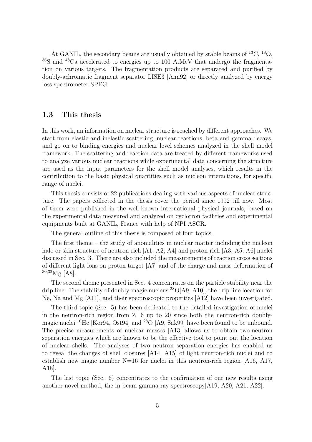At GANIL, the secondary beams are usually obtained by stable beams of  ${}^{13}C, {}^{18}O,$ <sup>36</sup>S and <sup>48</sup>Ca accelerated to energies up to 100 A.MeV that undergo the fragmentation on various targets. The fragmentation products are separated and purified by doubly-achromatic fragment separator LISE3 [Ann92] or directly analyzed by energy loss spectrometer SPEG.

### 1.3 This thesis

In this work, an information on nuclear structure is reached by different approaches. We start from elastic and inelastic scattering, nuclear reactions, beta and gamma decays, and go on to binding energies and nuclear level schemes analyzed in the shell model framework. The scattering and reaction data are treated by different frameworks used to analyze various nuclear reactions while experimental data concerning the structure are used as the input parameters for the shell model analyses, which results in the contribution to the basic physical quantities such as nucleon interactions, for specific range of nuclei.

This thesis consists of 22 publications dealing with various aspects of nuclear structure. The papers collected in the thesis cover the period since 1992 till now. Most of them were published in the well-known international physical journals, based on the experimental data measured and analyzed on cyclotron facilities and experimental equipments built at GANIL, France with help of NPI ASCR.

The general outline of this thesis is composed of four topics.

The first theme – the study of anomalities in nuclear matter including the nucleon halo or skin structure of neutron-rich [A1, A2, A4] and proton-rich [A3, A5, A6] nuclei discussed in Sec. 3. There are also included the measurements of reaction cross sections of different light ions on proton target [A7] and of the charge and mass deformation of  $30,32$ Mg [A8].

The second theme presented in Sec. 4 concentrates on the particle stability near the drip line. The stability of doubly-magic nucleus  $^{28}O[A9, A10]$ , the drip line location for Ne, Na and Mg [A11], and their spectroscopic properties [A12] have been investigated.

The third topic (Sec. 5) has been dedicated to the detailed investigation of nuclei in the neutron-rich region from  $Z=6$  up to 20 since both the neutron-rich doublymagic nuclei <sup>10</sup>He [Kor94, Ost94] and <sup>28</sup>O [A9, Sak99] have been found to be unbound. The precise measurements of nuclear masses [A13] allows us to obtain two-neutron separation energies which are known to be the effective tool to point out the location of nuclear shells. The analyses of two neutron separation energies has enabled us to reveal the changes of shell closures [A14, A15] of light neutron-rich nuclei and to establish new magic number  $N=16$  for nuclei in this neutron-rich region [A16, A17, A18].

The last topic (Sec. 6) concentrates to the confirmation of our new results using another novel method, the in-beam gamma-ray spectroscopy[A19, A20, A21, A22].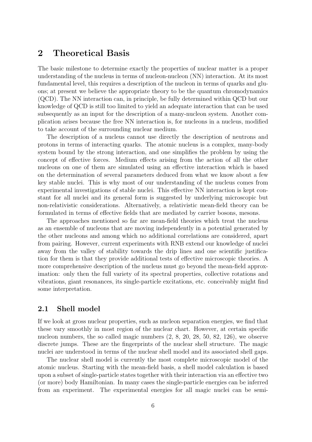## 2 Theoretical Basis

The basic milestone to determine exactly the properties of nuclear matter is a proper understanding of the nucleus in terms of nucleon-nucleon (NN) interaction. At its most fundamental level, this requires a description of the nucleon in terms of quarks and gluons; at present we believe the appropriate theory to be the quantum chromodynamics (QCD). The NN interaction can, in principle, be fully determined within QCD but our knowledge of QCD is still too limited to yield an adequate interaction that can be used subsequently as an input for the description of a many-nucleon system. Another complication arises because the free NN interaction is, for nucleons in a nucleus, modified to take account of the surrounding nuclear medium.

The description of a nucleus cannot use directly the description of neutrons and protons in terms of interacting quarks. The atomic nucleus is a complex, many-body system bound by the strong interaction, and one simplifies the problem by using the concept of effective forces. Medium effects arising from the action of all the other nucleons on one of them are simulated using an effective interaction which is based on the determination of several parameters deduced from what we know about a few key stable nuclei. This is why most of our understanding of the nucleus comes from experimental investigations of stable nuclei. This effective NN interaction is kept constant for all nuclei and its general form is suggested by underlying microscopic but non-relativistic considerations. Alternatively, a relativistic mean-field theory can be formulated in terms of effective fields that are mediated by carrier bosons, mesons.

The approaches mentioned so far are mean-field theories which treat the nucleus as an ensemble of nucleons that are moving independently in a potential generated by the other nucleons and among which no additional correlations are considered, apart from pairing. However, current experiments with RNB extend our knowledge of nuclei away from the valley of stability towards the drip lines and one scientific justification for them is that they provide additional tests of effective microscopic theories. A more comprehensive description of the nucleus must go beyond the mean-field approximation: only then the full variety of its spectral properties, collective rotations and vibrations, giant resonances, its single-particle excitations, etc. conceivably might find some interpretation.

## 2.1 Shell model

If we look at gross nuclear properties, such as nucleon separation energies, we find that these vary smoothly in most region of the nuclear chart. However, at certain specific nucleon numbers, the so called magic numbers (2, 8, 20, 28, 50, 82, 126), we observe discrete jumps. These are the fingerprints of the nuclear shell structure. The magic nuclei are understood in terms of the nuclear shell model and its associated shell gaps.

The nuclear shell model is currently the most complete microscopic model of the atomic nucleus. Starting with the mean-field basis, a shell model calculation is based upon a subset of single-particle states together with their interaction via an effective two (or more) body Hamiltonian. In many cases the single-particle energies can be inferred from an experiment. The experimental energies for all magic nuclei can be semi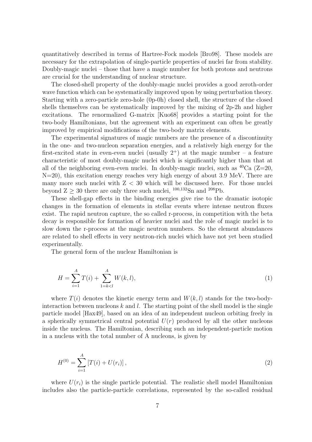quantitatively described in terms of Hartree-Fock models [Bro98]. These models are necessary for the extrapolation of single-particle properties of nuclei far from stability. Doubly-magic nuclei – those that have a magic number for both protons and neutrons are crucial for the understanding of nuclear structure.

The closed-shell property of the doubly-magic nuclei provides a good zeroth-order wave function which can be systematically improved upon by using perturbation theory. Starting with a zero-particle zero-hole (0p-0h) closed shell, the structure of the closed shells themselves can be systematically improved by the mixing of 2p-2h and higher excitations. The renormalized G-matrix [Kuo68] provides a starting point for the two-body Hamiltonians, but the agreement with an experiment can often be greatly improved by empirical modifications of the two-body matrix elements.

The experimental signatures of magic numbers are the presence of a discontinuity in the one- and two-nucleon separation energies, and a relatively high energy for the first-excited state in even-even nuclei (usually  $2^+$ ) at the magic number – a feature characteristic of most doubly-magic nuclei which is significantly higher than that at all of the neighboring even-even nuclei. In doubly-magic nuclei, such as  ${}^{40}Ca$  (Z=20, N=20), this excitation energy reaches very high energy of about 3.9 MeV. There are many more such nuclei with  $Z < 30$  which will be discussed here. For those nuclei beyond  $Z \geq 30$  there are only three such nuclei,  $^{100,132}$ Sn and  $^{208}$ Pb.

These shell-gap effects in the binding energies give rise to the dramatic isotopic changes in the formation of elements in stellar events where intense neutron fluxes exist. The rapid neutron capture, the so called r-process, in competition with the beta decay is responsible for formation of heavier nuclei and the role of magic nuclei is to slow down the r-process at the magic neutron numbers. So the element abundances are related to shell effects in very neutron-rich nuclei which have not yet been studied experimentally.

The general form of the nuclear Hamiltonian is

$$
H = \sum_{i=1}^{A} T(i) + \sum_{1=k\n(1)
$$

where  $T(i)$  denotes the kinetic energy term and  $W(k, l)$  stands for the two-bodyinteraction between nucleons  $k$  and  $l$ . The starting point of the shell model is the single particle model [Hax49], based on an idea of an independent nucleon orbiting freely in a spherically symmetrical central potential  $U(r)$  produced by all the other nucleons inside the nucleus. The Hamiltonian, describing such an independent-particle motion in a nucleus with the total number of A nucleons, is given by

$$
H^{(0)} = \sum_{i=1}^{A} [T(i) + U(r_i)],
$$
\n(2)

where  $U(r_i)$  is the single particle potential. The realistic shell model Hamiltonian includes also the particle-particle correlations, represented by the so-called residual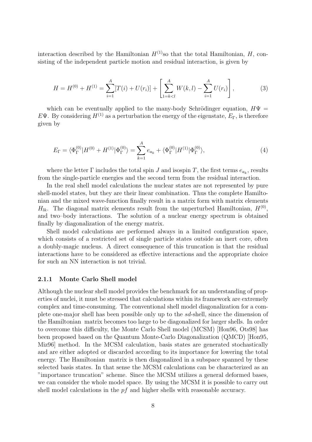interaction described by the Hamiltonian  $H^{(1)}$ so that the total Hamiltonian, H, consisting of the independent particle motion and residual interaction, is given by

$$
H = H^{(0)} + H^{(1)} = \sum_{i=1}^{A} [T(i) + U(r_i)] + \left[ \sum_{1=k (3)
$$

which can be eventually applied to the many-body Schrödinger equation,  $H\Psi =$ EΨ. By considering  $H^{(1)}$  as a perturbation the energy of the eigenstate,  $E_{\Gamma}$ , is therefore given by

$$
E_{\Gamma} = \langle \Phi_{\Gamma}^{(0)} | H^{(0)} + H^{(1)} | \Phi_{\Gamma}^{(0)} \rangle = \sum_{k=1}^{A} e_{a_k} + \langle \Phi_{\Gamma}^{(0)} | H^{(1)} | \Phi_{\Gamma}^{(0)} \rangle, \tag{4}
$$

where the letter  $\Gamma$  includes the total spin  $J$  and isospin  $T$ , the first terms  $e_{a_k}$ , results from the single-particle energies and the second term from the residual interaction.

In the real shell model calculations the nuclear states are not represented by pure shell-model states, but they are their linear combination. Thus the complete Hamiltonian and the mixed wave-function finally result in a matrix form with matrix elements  $H_{lk}$ . The diagonal matrix elements result from the unperturbed Hamiltonian,  $H^{(0)}$ , and two–body interactions. The solution of a nuclear energy spectrum is obtained finally by diagonalization of the energy matrix.

Shell model calculations are performed always in a limited configuration space, which consists of a restricted set of single particle states outside an inert core, often a doubly-magic nucleus. A direct consequence of this truncation is that the residual interactions have to be considered as effective interactions and the appropriate choice for such an NN interaction is not trivial.

#### 2.1.1 Monte Carlo Shell model

Although the nuclear shell model provides the benchmark for an understanding of properties of nuclei, it must be stressed that calculations within its framework are extremely complex and time-consuming. The conventional shell model diagonalization for a complete one-major shell has been possible only up to the sd-shell, since the dimension of the Hamiltonian matrix becomes too large to be diagonalized for larger shells. In order to overcome this difficulty, the Monte Carlo Shell model (MCSM) [Hon96, Ots98] has been proposed based on the Quantum Monte-Carlo Diagonalization (QMCD) [Hon95, Miz96] method. In the MCSM calculation, basis states are generated stochastically and are either adopted or discarded according to its importance for lowering the total energy. The Hamiltonian matrix is then diagonalized in a subspace spanned by these selected basis states. In that sense the MCSM calculations can be characterized as an "importance truncation" scheme. Since the MCSM utilizes a general deformed bases, we can consider the whole model space. By using the MCSM it is possible to carry out shell model calculations in the  $pf$  and higher shells with reasonable accuracy.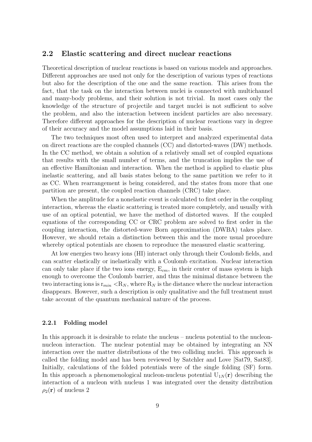### 2.2 Elastic scattering and direct nuclear reactions

Theoretical description of nuclear reactions is based on various models and approaches. Different approaches are used not only for the description of various types of reactions but also for the description of the one and the same reaction. This arises from the fact, that the task on the interaction between nuclei is connected with multichannel and many-body problems, and their solution is not trivial. In most cases only the knowledge of the structure of projectile and target nuclei is not sufficient to solve the problem, and also the interaction between incident particles are also necessary. Therefore different approaches for the description of nuclear reactions vary in degree of their accuracy and the model assumptions laid in their basis.

The two techniques most often used to interpret and analyzed experimental data on direct reactions are the coupled channels (CC) and distorted-waves (DW) methods. In the CC method, we obtain a solution of a relatively small set of coupled equations that results with the small number of terms, and the truncation implies the use of an effective Hamiltonian and interaction. When the method is applied to elastic plus inelastic scattering, and all basis states belong to the same partition we refer to it as CC. When rearrangement is being considered, and the states from more that one partition are present, the coupled reaction channels (CRC) take place.

When the amplitude for a nonelastic event is calculated to first order in the coupling interaction, whereas the elastic scattering is treated more completely, and usually with use of an optical potential, we have the method of distorted waves. If the coupled equations of the corresponding CC or CRC problem are solved to first order in the coupling interaction, the distorted-wave Born approximation (DWBA) takes place. However, we should retain a distinction between this and the more usual procedure whereby optical potentials are chosen to reproduce the measured elastic scattering.

At low energies two heavy ions (HI) interact only through their Coulomb fields, and can scatter elastically or inelastically with a Coulomb excitation. Nuclear interaction can only take place if the two ions energy,  $E_{cm}$ , in their center of mass system is high enough to overcome the Coulomb barrier, and thus the minimal distance between the two interacting ions is  $r_{min} < R_N$ , where  $R_N$  is the distance where the nuclear interaction disappears. However, such a description is only qualitative and the full treatment must take account of the quantum mechanical nature of the process.

#### 2.2.1 Folding model

In this approach it is desirable to relate the nucleus – nucleus potential to the nucleonnucleon interaction. The nuclear potential may be obtained by integrating an NN interaction over the matter distributions of the two colliding nuclei. This approach is called the folding model and has been reviewed by Satchler and Love [Sat79, Sat83]. Initially, calculations of the folded potentials were of the single folding (SF) form. In this approach a phenomenological nucleon-nucleus potential  $U_{1N}(\mathbf{r})$  describing the interaction of a nucleon with nucleus 1 was integrated over the density distribution  $\rho_2(\mathbf{r})$  of nucleus 2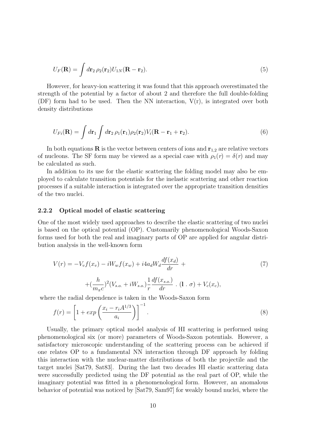$$
U_F(\mathbf{R}) = \int d\mathbf{r}_2 \,\rho_2(\mathbf{r}_2) U_{1N}(\mathbf{R} - \mathbf{r}_2). \tag{5}
$$

However, for heavy-ion scattering it was found that this approach overestimated the strength of the potential by a factor of about 2 and therefore the full double-folding (DF) form had to be used. Then the NN interaction,  $V(r)$ , is integrated over both density distributions

$$
U_{Fi}(\mathbf{R}) = \int d\mathbf{r}_1 \int d\mathbf{r}_2 \,\rho_1(\mathbf{r}_1)\rho_2(\mathbf{r}_2)V_i(\mathbf{R} - \mathbf{r}_1 + \mathbf{r}_2). \tag{6}
$$

In both equations **R** is the vector between centers of ions and  $r_{1,2}$  are relative vectors of nucleons. The SF form may be viewed as a special case with  $\rho_1(r) = \delta(r)$  and may be calculated as such.

In addition to its use for the elastic scattering the folding model may also be employed to calculate transition potentials for the inelastic scattering and other reaction processes if a suitable interaction is integrated over the appropriate transition densities of the two nuclei.

#### 2.2.2 Optical model of elastic scattering

One of the most widely used approaches to describe the elastic scattering of two nuclei is based on the optical potential (OP). Customarily phenomenological Woods-Saxon forms used for both the real and imaginary parts of OP are applied for angular distribution analysis in the well-known form

$$
V(r) = -V_v f(x_v) - iW_w f(x_w) + i4a_d W_d \frac{df(x_d)}{dr} +
$$
  
+ 
$$
(\frac{h}{m_{\pi}c})^2 (V_{s.o.} + iW_{s.o.}) \frac{1}{r} \frac{df(x_{s.o.})}{dr} \cdot (1 \cdot \sigma) + V_c(x_c),
$$
 (7)

where the radial dependence is taken in the Woods-Saxon form

$$
f(r) = \left[1 + exp\left(\frac{x_i - r_i A^{1/3}}{a_i}\right)\right]^{-1}.\tag{8}
$$

Usually, the primary optical model analysis of HI scattering is performed using phenomenological six (or more) parameters of Woods-Saxon potentials. However, a satisfactory microscopic understanding of the scattering process can be achieved if one relates OP to a fundamental NN interaction through DF approach by folding this interaction with the nuclear-matter distributions of both the projectile and the target nuclei [Sat79, Sat83]. During the last two decades HI elastic scattering data were successfully predicted using the DF potential as the real part of OP, while the imaginary potential was fitted in a phenomenological form. However, an anomalous behavior of potential was noticed by [Sat79, Sam97] for weakly bound nuclei, where the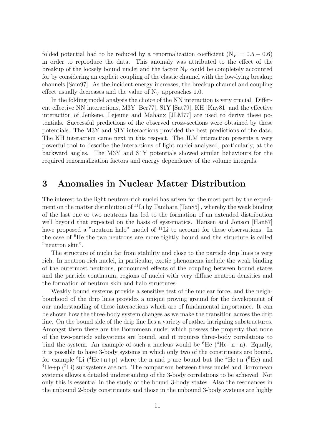folded potential had to be reduced by a renormalization coefficient ( $N_V = 0.5 - 0.6$ ) in order to reproduce the data. This anomaly was attributed to the effect of the breakup of the loosely bound nuclei and the factor  $N_V$  could be completely accounted for by considering an explicit coupling of the elastic channel with the low-lying breakup channels [Sam97]. As the incident energy increases, the breakup channel and coupling effect usually decreases and the value of  $N_V$  approaches 1.0.

In the folding model analysis the choice of the NN interaction is very crucial. Different effective NN interactions, M3Y [Ber77], S1Y [Sat79], KH [Kny81] and the effective interaction of Jeukene, Lejeune and Mahaux [JLM77] are used to derive these potentials. Successful predictions of the observed cross-sections were obtained by these potentials. The M3Y and S1Y interactions provided the best predictions of the data. The KH interaction came next in this respect. The JLM interaction presents a very powerful tool to describe the interactions of light nuclei analyzed, particularly, at the backward angles. The M3Y and S1Y potentials showed similar behaviours for the required renormalization factors and energy dependence of the volume integrals.

## 3 Anomalies in Nuclear Matter Distribution

The interest to the light neutron-rich nuclei has arisen for the most part by the experiment on the matter distribution of  $^{11}$ Li by Tanihata [Tan85], whereby the weak binding of the last one or two neutrons has led to the formation of an extended distribution well beyond that expected on the basis of systematics. Hansen and Jonson [Han87] have proposed a "neutron halo" model of <sup>11</sup>Li to account for these observations. In the case of <sup>6</sup>He the two neutrons are more tightly bound and the structure is called "neutron skin".

The structure of nuclei far from stability and close to the particle drip lines is very rich. In neutron-rich nuclei, in particular, exotic phenomena include the weak binding of the outermost neutrons, pronounced effects of the coupling between bound states and the particle continuum, regions of nuclei with very diffuse neutron densities and the formation of neutron skin and halo structures.

Weakly bound systems provide a sensitive test of the nuclear force, and the neighbourhood of the drip lines provides a unique proving ground for the development of our understanding of these interactions which are of fundamental importance. It can be shown how the three-body system changes as we make the transition across the drip line. On the bound side of the drip line lies a variety of rather intriguing substructures. Amongst them there are the Borromean nuclei which possess the property that none of the two-particle subsystems are bound, and it requires three-body correlations to bind the system. An example of such a nucleus would be  ${}^{6}He$  ( ${}^{4}He+n+n$ ). Equally, it is possible to have 3-body systems in which only two of the constituents are bound, for example <sup>6</sup>Li (<sup>4</sup>He+n+p) where the n and p are bound but the <sup>4</sup>He+n (<sup>5</sup>He) and  ${}^{4}$ He+p ( ${}^{5}$ Li) subsystems are not. The comparison between these nuclei and Borromean systems allows a detailed understanding of the 3-body correlations to be achieved. Not only this is essential in the study of the bound 3-body states. Also the resonances in the unbound 2-body constituents and those in the unbound 3-body systems are highly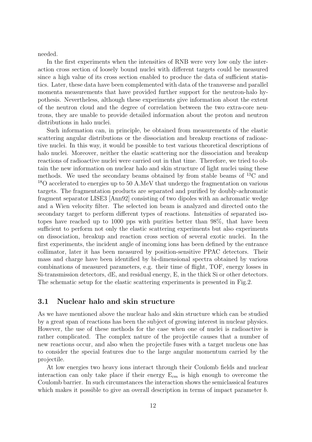needed.

In the first experiments when the intensities of RNB were very low only the interaction cross section of loosely bound nuclei with different targets could be measured since a high value of its cross section enabled to produce the data of sufficient statistics. Later, these data have been complemented with data of the transverse and parallel momenta measurements that have provided further support for the neutron-halo hypothesis. Nevertheless, although these experiments give information about the extent of the neutron cloud and the degree of correlation between the two extra-core neutrons, they are unable to provide detailed information about the proton and neutron distributions in halo nuclei.

Such information can, in principle, be obtained from measurements of the elastic scattering angular distributions or the dissociation and breakup reactions of radioactive nuclei. In this way, it would be possible to test various theoretical descriptions of halo nuclei. Moreover, neither the elastic scattering nor the dissociation and breakup reactions of radioactive nuclei were carried out in that time. Therefore, we tried to obtain the new information on nuclear halo and skin structure of light nuclei using these methods. We used the secondary beams obtained by from stable beams of  ${}^{13}C$  and <sup>18</sup>O accelerated to energies up to 50 A.MeV that undergo the fragmentation on various targets. The fragmentation products are separated and purified by doubly-achromatic fragment separator LISE3 [Ann92] consisting of two dipoles with an achromatic wedge and a Wien velocity filter. The selected ion beam is analyzed and directed onto the secondary target to perform different types of reactions. Intensities of separated isotopes have reached up to 1000 pps with purities better than 98%, that have been sufficient to perform not only the elastic scattering experiments but also experiments on dissociation, breakup and reaction cross section of several exotic nuclei. In the first experiments, the incident angle of incoming ions has been defined by the entrance collimator, later it has been measured by position-sensitive PPAC detectors. Their mass and charge have been identified by bi-dimensional spectra obtained by various combinations of measured parameters, e.g. their time of flight, TOF, energy losses in Si-transmission detectors, dE, and residual energy, E, in the thick Si or other detectors. The schematic setup for the elastic scattering experiments is presented in Fig.2.

### 3.1 Nuclear halo and skin structure

As we have mentioned above the nuclear halo and skin structure which can be studied by a great span of reactions has been the subject of growing interest in nuclear physics. However, the use of these methods for the case when one of nuclei is radioactive is rather complicated. The complex nature of the projectile causes that a number of new reactions occur, and also when the projectile fuses with a target nucleus one has to consider the special features due to the large angular momentum carried by the projectile.

At low energies two heavy ions interact through their Coulomb fields and nuclear interaction can only take place if their energy  $E_{cm}$  is high enough to overcome the Coulomb barrier. In such circumstances the interaction shows the semiclassical features which makes it possible to give an overall description in terms of impact parameter b.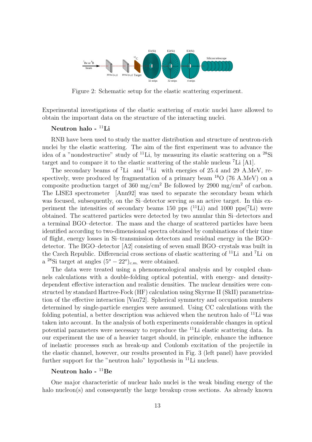

Figure 2: Schematic setup for the elastic scattering experiment.

Experimental investigations of the elastic scattering of exotic nuclei have allowed to obtain the important data on the structure of the interacting nuclei.

### Neutron halo - <sup>11</sup>Li

RNB have been used to study the matter distribution and structure of neutron-rich nuclei by the elastic scattering. The aim of the first experiment was to advance the idea of a "nondestructive" study of <sup>11</sup>Li, by measuring its elastic scattering on a <sup>28</sup>Si target and to compare it to the elastic scattering of the stable nucleus <sup>7</sup>Li [A1].

The secondary beams of <sup>7</sup>Li and <sup>11</sup>Li with energies of 25.4 and 29 A.MeV, respectively, were produced by fragmentation of a primary beam  $^{18}O$  (76 A.MeV) on a composite production target of 360 mg/cm<sup>2</sup> Be followed by 2900 mg/cm<sup>2</sup> of carbon. The LISE3 spectrometer [Ann92] was used to separate the secondary beam which was focused, subsequently, on the Si–detector serving as an active target. In this experiment the intensities of secondary beams 150 pps  $(^{11}Li)$  and 1000 pps $(^{7}Li)$  were obtained. The scattered particles were detected by two annular thin Si–detectors and a terminal BGO–detector. The mass and the charge of scattered particles have been identified according to two-dimensional spectra obtained by combinations of their time of flight, energy losses in Si–transmission detectors and residual energy in the BGO– detector. The BGO–detector [A2] consisting of seven small BGO–crystals was built in the Czech Republic. Differencial cross sections of elastic scattering of <sup>11</sup>Li and <sup>7</sup>Li on a <sup>28</sup>Si target at angles  $(5^o - 22^o)_{c.m.}$  were obtained.

The data were treated using a phenomenological analysis and by coupled channels calculations with a double-folding optical potential, with energy- and densitydependent effective interaction and realistic densities. The nuclear densities were constructed by standard Hartree-Fock (HF) calculation using Skyrme II (SkII) parametrization of the effective interaction [Vau72]. Spherical symmetry and occupation numbers determined by single-particle energies were assumed. Using CC calculations with the folding potential, a better description was achieved when the neutron halo of  $^{11}$ Li was taken into account. In the analysis of both experiments considerable changes in optical potential parameters were necessary to reproduce the <sup>11</sup>Li elastic scattering data. In our experiment the use of a heavier target should, in principle, enhance the influence of inelastic processes such as break-up and Coulomb excitation of the projectile in the elastic channel, however, our results presented in Fig. 3 (left panel) have provided further support for the "neutron halo" hypothesis in  $<sup>11</sup>Li$  nucleus.</sup>

### Neutron halo -  $^{11}$ Be

One major characteristic of nuclear halo nuclei is the weak binding energy of the halo nucleon(s) and consequently the large breakup cross sections. As already known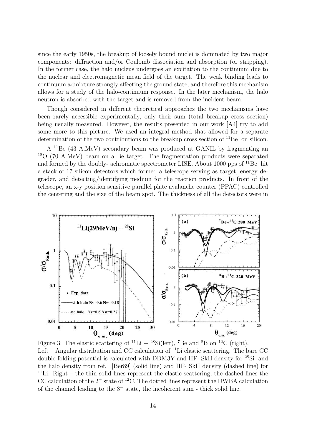since the early 1950s, the breakup of loosely bound nuclei is dominated by two major components: diffraction and/or Coulomb dissociation and absorption (or stripping). In the former case, the halo nucleus undergoes an excitation to the continuum due to the nuclear and electromagnetic mean field of the target. The weak binding leads to continuum admixture strongly affecting the ground state, and therefore this mechanism allows for a study of the halo-continuum response. In the later mechanism, the halo neutron is absorbed with the target and is removed from the incident beam.

Though considered in different theoretical approaches the two mechanisms have been rarely accessible experimentally, only their sum (total breakup cross section) being usually measured. However, the results presented in our work [A4] try to add some more to this picture. We used an integral method that allowed for a separate determination of the two contributions to the breakup cross section of  $^{11}$ Be on silicon.

A <sup>11</sup>Be (43 A.MeV) secondary beam was produced at GANIL by fragmenting an <sup>18</sup>O (70 A.MeV) beam on a Be target. The fragmentation products were separated and formed by the doubly- achromatic spectrometer LISE. About 1000 pps of  $^{11}$ Be hit a stack of 17 silicon detectors which formed a telescope serving as target, energy degrader, and detecting/identifying medium for the reaction products. In front of the telescope, an x-y position sensitive parallel plate avalanche counter (PPAC) controlled the centering and the size of the beam spot. The thickness of all the detectors were in



Figure 3: The elastic scattering of  ${}^{11}\text{Li} + {}^{28}\text{Si}(\text{left})$ , <sup>7</sup>Be and <sup>8</sup>B on <sup>12</sup>C (right). Left – Angular distribution and CC calculation of  $^{11}$ Li elastic scattering. The bare CC double-folding potential is calculated with DDM3Y and HF- SkII density for <sup>28</sup>Si and the halo density from ref. [Ber89] (solid line) and HF- SkII density (dashed line) for <sup>11</sup>Li. Right – the thin solid lines represent the elastic scattering, the dashed lines the CC calculation of the  $2^+$  state of <sup>12</sup>C. The dotted lines represent the DWBA calculation of the channel leading to the 3<sup>−</sup> state, the incoherent sum - thick solid line.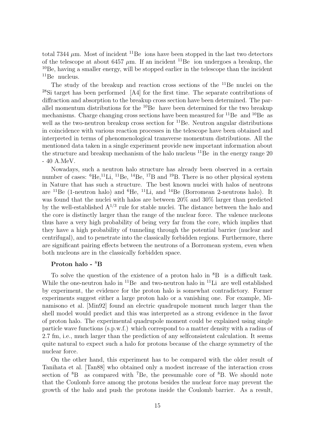total 7344  $\mu$ m. Most of incident <sup>11</sup>Be ions have been stopped in the last two detectors of the telescope at about 6457  $\mu$ m. If an incident <sup>11</sup>Be ion undergoes a breakup, the  $10B$ e, having a smaller energy, will be stopped earlier in the telescope than the incident  $^{11}$ Be nucleus.

The study of the breakup and reaction cross sections of the <sup>11</sup>Be nuclei on the <sup>28</sup>Si target has been performed [A4] for the first time. The separate contributions of diffraction and absorption to the breakup cross section have been determined. The parallel momentum distributions for the  $10Be$  have been determined for the two breakup mechanisms. Charge changing cross sections have been measured for  $^{11}$ Be and  $^{10}$ Be as well as the two-neutron breakup cross section for  ${}^{11}$ Be. Neutron angular distributions in coincidence with various reaction processes in the telescope have been obtained and interpreted in terms of phenomenological transverse momentum distributions. All the mentioned data taken in a single experiment provide new important information about the structure and breakup mechanism of the halo nucleus  $^{11}$ Be in the energy range 20 - 40 A.MeV.

Nowadays, such a neutron halo structure has already been observed in a certain number of cases:  ${}^{6}He, {}^{11}Li, {}^{11}Be, {}^{14}Be, {}^{17}B$  and  ${}^{19}B$ . There is no other physical system in Nature that has such a structure. The best known nuclei with halos of neutrons are  $^{11}$ Be (1-neutron halo) and  $^{6}$ He,  $^{11}$ Li, and  $^{14}$ Be (Borromean 2-neutrons halo). It was found that the nuclei with halos are between 20% and 30% larger than predicted by the well-established  $A^{1/3}$  rule for stable nuclei. The distance between the halo and the core is distinctly larger than the range of the nuclear force. The valence nucleons thus have a very high probability of being very far from the core, which implies that they have a high probability of tunneling through the potential barrier (nuclear and centrifugal), and to penetrate into the classically forbidden regions. Furthermore, there are significant pairing effects between the neutrons of a Borromean system, even when both nucleons are in the classically forbidden space.

### Proton halo - <sup>8</sup>B

To solve the question of the existence of a proton halo in  ${}^{8}B$  is a difficult task. While the one-neutron halo in  $^{11}$ Be and two-neutron halo in  $^{11}$ Li are well established by experiment, the evidence for the proton halo is somewhat contradictory. Former experiments suggest either a large proton halo or a vanishing one. For example, Minamisono et al. [Min92] found an electric quadrupole moment much larger than the shell model would predict and this was interpreted as a strong evidence in the favor of proton halo. The experimental quadrupole moment could be explained using single particle wave functions (s.p.w.f.) which correspond to a matter density with a radius of 2.7 fm, i.e., much larger than the prediction of any selfconsistent calculation. It seems quite natural to expect such a halo for protons because of the charge symmetry of the nuclear force.

On the other hand, this experiment has to be compared with the older result of Tanihata et al. [Tan88] who obtained only a modest increase of the interaction cross section of  ${}^{8}B$  as compared with <sup>7</sup>Be, the presumable core of  ${}^{8}B$ . We should note that the Coulomb force among the protons besides the nuclear force may prevent the growth of the halo and push the protons inside the Coulomb barrier. As a result,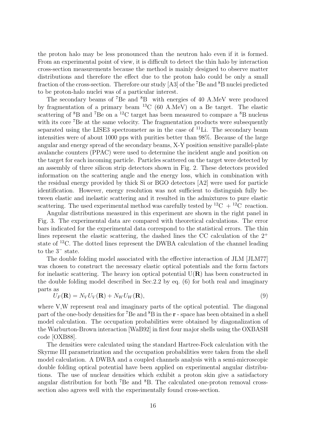the proton halo may be less pronounced than the neutron halo even if it is formed. From an experimental point of view, it is difficult to detect the thin halo by interaction cross-section measurements because the method is mainly designed to observe matter distributions and therefore the effect due to the proton halo could be only a small fraction of the cross-section. Therefore our study  $[A3]$  of the <sup>7</sup>Be and <sup>8</sup>B nuclei predicted to be proton-halo nuclei was of a particular interest.

The secondary beams of <sup>7</sup>Be and <sup>8</sup>B with energies of 40 A.MeV were produced by fragmentation of a primary beam  ${}^{13}C$  (60 A.MeV) on a Be target. The elastic scattering of  ${}^{8}B$  and  ${}^{7}Be$  on a  ${}^{12}C$  target has been measured to compare a  ${}^{8}B$  nucleus with its core <sup>7</sup>Be at the same velocity. The fragmentation products were subsequently separated using the LISE3 spectrometer as in the case of  $^{11}$ Li. The secondary beam intensities were of about 1000 pps with purities better than 98%. Because of the large angular and energy spread of the secondary beams, X-Y position sensitive parallel-plate avalanche counters (PPAC) were used to determine the incident angle and position on the target for each incoming particle. Particles scattered on the target were detected by an assembly of three silicon strip detectors shown in Fig. 2. These detectors provided information on the scattering angle and the energy loss, which in combination with the residual energy provided by thick Si or BGO detectors [A2] were used for particle identification. However, energy resolution was not sufficient to distinguish fully between elastic and inelastic scattering and it resulted in the admixtures to pure elastic scattering. The used experimental method was carefully tested by <sup>12</sup>C + <sup>12</sup>C reaction.

Angular distributions measured in this experiment are shown in the right panel in Fig. 3. The experimental data are compared with theoretical calculations. The error bars indicated for the experimental data correspond to the statistical errors. The thin lines represent the elastic scattering, the dashed lines the CC calculation of the  $2^+$ state of <sup>12</sup>C. The dotted lines represent the DWBA calculation of the channel leading to the 3<sup>−</sup> state.

The double folding model associated with the effective interaction of JLM [JLM77] was chosen to construct the necessary elastic optical potentials and the form factors for inelastic scattering. The heavy ion optical potential  $U(R)$  has been constructed in the double folding model described in Sec.2.2 by eq. (6) for both real and imaginary parts as

$$
U_F(\mathbf{R}) = N_V U_V(\mathbf{R}) + N_W U_W(\mathbf{R}),\tag{9}
$$

where V,W represent real and imaginary parts of the optical potential. The diagonal part of the one-body densities for <sup>7</sup>Be and <sup>8</sup>B in the r - space has been obtained in a shell model calculation. The occupation probabilities were obtained by diagonalization of the Warburton-Brown interaction [WaB92] in first four major shells using the OXBASH code [OXB88].

The densities were calculated using the standard Hartree-Fock calculation with the Skyrme III parametrization and the occupation probabilities were taken from the shell model calculation. A DWBA and a coupled channels analysis with a semi-microscopic double folding optical potential have been applied on experimental angular distributions. The use of nuclear densities which exhibit a proton skin give a satisfactory angular distribution for both <sup>7</sup>Be and <sup>8</sup>B. The calculated one-proton removal crosssection also agrees well with the experimentally found cross-section.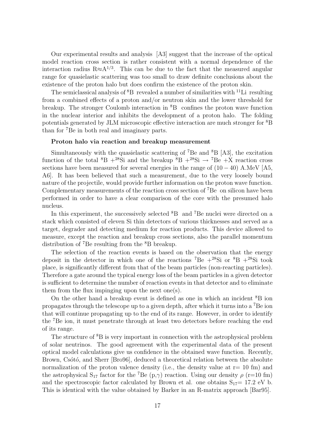Our experimental results and analysis [A3] suggest that the increase of the optical model reaction cross section is rather consistent with a normal dependence of the interaction radius R $\approx A^{1/3}$ . This can be due to the fact that the measured angular range for quasielastic scattering was too small to draw definite conclusions about the existence of the proton halo but does confirm the existence of the proton skin.

The semiclassical analysis of  ${}^{8}B$  revealed a number of similarities with <sup>11</sup>Li resulting from a combined effects of a proton and/or neutron skin and the lower threshold for breakup. The stronger Coulomb interaction in  ${}^{8}B$  confines the proton wave function in the nuclear interior and inhibits the development of a proton halo. The folding potentials generated by JLM microscopic effective interaction are much stronger for <sup>8</sup>B than for <sup>7</sup>Be in both real and imaginary parts.

### Proton halo via reaction and breakup measurement

Simultaneously with the quasielastic scattering of  $^7$ Be and  $^8$ B [A3], the excitation function of the total  ${}^{8}B + {}^{28}Si$  and the breakup  ${}^{8}B + {}^{28}Si \rightarrow {}^{7}Be + X$  reaction cross sections have been measured for several energies in the range of  $(10 - 40)$  A.MeV [A5, A6]. It has been believed that such a measurement, due to the very loosely bound nature of the projectile, would provide further information on the proton wave function. Complementary measurements of the reaction cross section of  ${}^{7}Be$  on silicon have been performed in order to have a clear comparison of the core with the presumed halo nucleus.

In this experiment, the successively selected  ${}^{8}B$  and  ${}^{7}Be$  nuclei were directed on a stack which consisted of eleven Si thin detectors of various thicknesses and served as a target, degrader and detecting medium for reaction products. This device allowed to measure, except the reaction and breakup cross sections, also the parallel momentum distribution of <sup>7</sup>Be resulting from the <sup>8</sup>B breakup.

The selection of the reaction events is based on the observation that the energy deposit in the detector in which one of the reactions <sup>7</sup>Be  $+^{28}$ Si or <sup>8</sup>B  $+^{28}$ Si took place, is significantly different from that of the beam particles (non-reacting particles). Therefore a gate around the typical energy loss of the beam particles in a given detector is sufficient to determine the number of reaction events in that detector and to eliminate them from the flux impinging upon the next one(s).

On the other hand a breakup event is defined as one in which an incident  ${}^{8}B$  ion propagates through the telescope up to a given depth, after which it turns into a <sup>7</sup>Be ion that will continue propagating up to the end of its range. However, in order to identify the <sup>7</sup>Be ion, it must penetrate through at least two detectors before reaching the end of its range.

The structure of <sup>8</sup>B is very important in connection with the astrophysical problem of solar neutrinos. The good agreement with the experimental data of the present optical model calculations give us confidence in the obtained wave function. Recently, Brown, Csótó, and Sherr [Bro96], deduced a theoretical relation between the absolute normalization of the proton valence density (i.e., the density value at  $r=10$  fm) and the astrophysical  $S_{17}$  factor for the <sup>7</sup>Be (p, $\gamma$ ) reaction. Using our density  $\rho$  (r=10 fm) and the spectroscopic factor calculated by Brown et al. one obtains  $S_{17}= 17.2 \text{ eV}$  b. This is identical with the value obtained by Barker in an R-matrix approach [Bar95].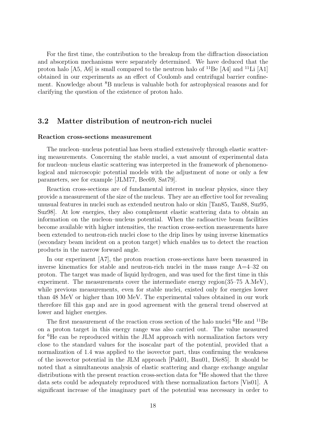For the first time, the contribution to the breakup from the diffraction dissociation and absorption mechanisms were separately determined. We have deduced that the proton halo  $[A5, A6]$  is small compared to the neutron halo of  $^{11}$ Be  $[A4]$  and  $^{11}$ Li  $[A1]$ obtained in our experiments as an effect of Coulomb and centrifugal barrier confinement. Knowledge about <sup>8</sup>B nucleus is valuable both for astrophysical reasons and for clarifying the question of the existence of proton halo.

### 3.2 Matter distribution of neutron-rich nuclei

#### Reaction cross-sections measurement

The nucleon–nucleus potential has been studied extensively through elastic scattering measurements. Concerning the stable nuclei, a vast amount of experimental data for nucleon–nucleus elastic scattering was interpreted in the framework of phenomenological and microscopic potential models with the adjustment of none or only a few parameters, see for example [JLM77, Bec69, Sat79].

Reaction cross-sections are of fundamental interest in nuclear physics, since they provide a measurement of the size of the nucleus. They are an effective tool for revealing unusual features in nuclei such as extended neutron halo or skin [Tan85, Tan88, Suz95, Suz98]. At low energies, they also complement elastic scattering data to obtain an information on the nucleon–nucleus potential. When the radioactive beam facilities become available with higher intensities, the reaction cross-section measurements have been extended to neutron-rich nuclei close to the drip lines by using inverse kinematics (secondary beam incident on a proton target) which enables us to detect the reaction products in the narrow forward angle.

In our experiment [A7], the proton reaction cross-sections have been measured in inverse kinematics for stable and neutron-rich nuclei in the mass range A=4–32 on proton. The target was made of liquid hydrogen, and was used for the first time in this experiment. The measurements cover the intermediate energy region(35–75 A.MeV), while previous measurements, even for stable nuclei, existed only for energies lower than 48 MeV or higher than 100 MeV. The experimental values obtained in our work therefore fill this gap and are in good agreement with the general trend observed at lower and higher energies.

The first measurement of the reaction cross section of the halo nuclei  ${}^{6}$ He and  ${}^{11}$ Be on a proton target in this energy range was also carried out. The value measured for <sup>6</sup>He can be reproduced within the JLM approach with normalization factors very close to the standard values for the isoscalar part of the potential, provided that a normalization of 1.4 was applied to the isovector part, thus confirming the weakness of the isovector potential in the JLM approach [Pak01, Bau01, Die85]. It should be noted that a simultaneous analysis of elastic scattering and charge exchange angular distributions with the present reaction cross-section data for <sup>6</sup>He showed that the three data sets could be adequately reproduced with these normalization factors [Vis01]. A significant increase of the imaginary part of the potential was necessary in order to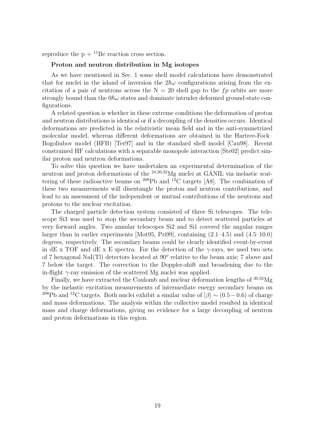reproduce the  $p + {}^{11}Be$  reaction cross section.

#### Proton and neutron distribution in Mg isotopes

As we have mentioned in Sec. 1 some shell model calculations have demonstrated that for nuclei in the island of inversion the  $2\hbar\omega$  configurations arising from the excitation of a pair of neutrons across the  $N = 20$  shell gap to the fp orbits are more strongly bound than the  $0\hbar\omega$  states and dominate intruder deformed ground-state configurations.

A related question is whether in these extreme conditions the deformation of proton and neutron distributions is identical or if a decoupling of the densities occurs. Identical deformations are predicted in the relativistic mean field and in the anti-symmetrized molecular model, whereas different deformations are obtained in the Hartree-Fock– Bogoliubov model (HFB) [Ter97] and in the standard shell model [Cau98]. Recent constrained HF calculations with a separable monopole interaction [Ste02] predict similar proton and neutron deformations.

To solve this question we have undertaken an experimental determination of the neutron and proton deformations of the <sup>24,30,32</sup>Mg nuclei at GANIL via inelastic scattering of these radioactive beams on  $^{208}\text{Pb}$  and  $^{12}\text{C}$  targets [A8]. The combination of these two measurements will disentangle the proton and neutron contributions, and lead to an assessment of the independent or mutual contributions of the neutrons and protons to the nuclear excitation.

The charged particle detection system consisted of three Si telescopes. The telescope Si3 was used to stop the secondary beam and to detect scattered particles at very forward angles. Two annular telescopes Si2 and Si1 covered the angular ranges larger than in earlier experiments [Mot95, Pri99], containing (2.1–4.5) and (4.5–10.0) degrees, respectively. The secondary beams could be clearly identified event-by-event in dE x TOF and dE x E spectra. For the detection of the  $\gamma$ -rays, we used two sets of 7 hexagonal NaI(Tl) detectors located at  $90^{\circ}$  relative to the beam axis; 7 above and 7 below the target. The correction to the Doppler-shift and broadening due to the in-flight  $\gamma$ -ray emission of the scattered Mg nuclei was applied.

Finally, we have extracted the Coulomb and nuclear deformation lengths of <sup>30</sup>,<sup>32</sup>Mg by the inelastic excitation measurements of intermediate energy secondary beams on <sup>208</sup>Pb and <sup>12</sup>C targets. Both nuclei exhibit a similar value of  $|\beta| \sim (0.5-0.6)$  of charge and mass deformations. The analysis within the collective model resulted in identical mass and charge deformations, giving no evidence for a large decoupling of neutron and proton deformations in this region.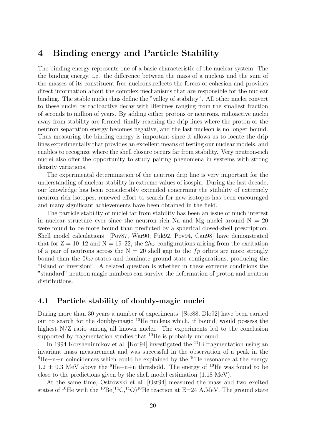## 4 Binding energy and Particle Stability

The binding energy represents one of a basic characteristic of the nuclear system. The the binding energy, i.e. the difference between the mass of a nucleus and the sum of the masses of its constituent free nucleons,reflects the forces of cohesion and provides direct information about the complex mechanisms that are responsible for the nuclear binding. The stable nuclei thus define the "valley of stability". All other nuclei convert to these nuclei by radioactive decay with lifetimes ranging from the smallest fraction of seconds to million of years. By adding either protons or neutrons, radioactive nuclei away from stability are formed, finally reaching the drip lines where the proton or the neutron separation energy becomes negative, and the last nucleon is no longer bound. Thus measuring the binding energy is important since it allows us to locate the drip lines experimentally that provides an excellent means of testing our nuclear models, and enables to recognize where the shell closure occurs far from stability. Very neutron-rich nuclei also offer the opportunity to study pairing phenomena in systems with strong density variations.

The experimental determination of the neutron drip line is very important for the understanding of nuclear stability in extreme values of isospin. During the last decade, our knowledge has been considerably extended concerning the stability of extremely neutron-rich isotopes, renewed effort to search for new isotopes has been encouraged and many significant achievements have been obtained in the field.

The particle stability of nuclei far from stability has been an issue of much interest in nuclear structure ever since the neutron rich Na and Mg nuclei around  $N = 20$ were found to be more bound than predicted by a spherical closed-shell prescription. Shell model calculations [Pov87, War90, Fuk92, Pov94, Cau98] have demonstrated that for  $Z = 10-12$  and  $N = 19-22$ , the  $2\hbar\omega$  configurations arising from the excitation of a pair of neutrons across the  $N = 20$  shell gap to the fp orbits are more strongly bound than the  $0\hbar\omega$  states and dominate ground-state configurations, producing the "island of inversion". A related question is whether in these extreme conditions the "standard" neutron magic numbers can survive the deformation of proton and neutron distributions.

## 4.1 Particle stability of doubly-magic nuclei

During more than 30 years a number of experiments [Ste88, Dlo92] have been carried out to search for the doubly-magic <sup>10</sup>He nucleus which, if bound, would possess the highest N/Z ratio among all known nuclei. The experiments led to the conclusion supported by fragmentation studies that <sup>10</sup>He is probably unbound.

In 1994 Korsheninnikov et al. [Kor94] investigated the <sup>11</sup>Li fragmentation using an invariant mass measurement and was successful in the observation of a peak in the  ${}^{8}He+n+n$  coincidences which could be explained by the <sup>10</sup>He resonance at the energy  $1.2 \pm 0.3$  MeV above the <sup>8</sup>He+n+n threshold. The energy of <sup>10</sup>He was found to be close to the predictions given by the shell model estimation (1.18 MeV).

At the same time, Ostrowski et al. [Ost94] measured the mass and two excited states of <sup>10</sup>He with the <sup>10</sup>Be(<sup>14</sup>C,<sup>14</sup>O)<sup>10</sup>He reaction at E=24 A.MeV. The ground state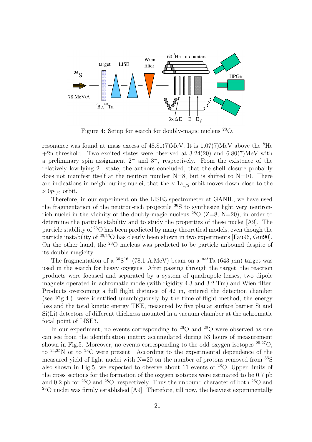

Figure 4: Setup for search for doubly-magic nucleus <sup>28</sup>O.

resonance was found at mass excess of  $48.81(7)$ MeV. It is  $1.07(7)$ MeV above the <sup>8</sup>He  $+2n$  threshold. Two excited states were observed at 3.24(20) and 6.80(7)MeV with a preliminary spin assignment  $2^+$  and  $3^-$ , respectively. From the existence of the relatively low-lying  $2^+$  state, the authors concluded, that the shell closure probably does not manifest itself at the neutron number  $N=8$ , but is shifted to  $N=10$ . There are indications in neighbouring nuclei, that the  $\nu$  1s<sub>1/2</sub> orbit moves down close to the  $\nu$  0 $p_{1/2}$  orbit.

Therefore, in our experiment on the LISE3 spectrometer at GANIL, we have used the fragmentation of the neutron-rich projectile <sup>36</sup>S to synthesize light very neutronrich nuclei in the vicinity of the doubly-magic nucleus  $^{28}O$  ( $Z=8$ , N=20), in order to determine the particle stability and to study the properties of these nuclei [A9]. The particle stability of <sup>26</sup>O has been predicted by many theoretical models, even though the particle instability of  $25,26$ O has clearly been shown in two experiments [Fau96, Gui90]. On the other hand, the <sup>28</sup>O nucleus was predicted to be particle unbound despite of its double magicity.

The fragmentation of a  ${}^{36}S^{16+}(78.1 \text{ A}.MeV)$  beam on a  ${}^{nat}Ta}$  (643  $\mu$ m) target was used in the search for heavy oxygens. After passing through the target, the reaction products were focused and separated by a system of quadrupole lenses, two dipole magnets operated in achromatic mode (with rigidity 4.3 and 3.2 Tm) and Wien filter. Products overcoming a full flight distance of 42 m, entered the detection chamber (see Fig.4.) were identified unambiguously by the time-of-flight method, the energy loss and the total kinetic energy TKE, measured by five planar surface barrier Si and Si(Li) detectors of different thickness mounted in a vacuum chamber at the achromatic focal point of LISE3.

In our experiment, no events corresponding to  $26$ O and  $28$ O were observed as one can see from the identification matrix accumulated during 53 hours of measurement shown in Fig.5. Moreover, no events corresponding to the odd oxygen isotopes  $^{25,27}O$ , to  $24.25$ N or to  $23$ C were present. According to the experimental dependence of the measured yield of light nuclei with  $N=20$  on the number of protons removed from  ${}^{36}S$ also shown in Fig.5, we expected to observe about 11 events of  $28$ O. Upper limits of the cross sections for the formation of the oxygen isotopes were estimated to be 0.7 pb and 0.2 pb for  $26$ O and  $28$ O, respectively. Thus the unbound character of both  $26$ O and <sup>28</sup>O nuclei was firmly established [A9]. Therefore, till now, the heaviest experimentally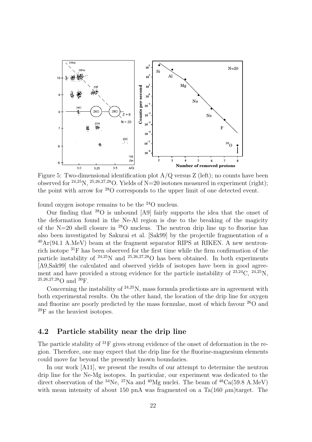

Figure 5: Two-dimensional identification plot  $A/Q$  versus  $Z$  (left); no counts have been observed for  $^{24,25}$ N,  $^{25,26,27,28}$ O. Yields of N=20 isotones measured in experiment (right); the point with arrow for <sup>28</sup>O corresponds to the upper limit of one detected event.

found oxygen isotope remains to be the <sup>24</sup>O nucleus.

Our finding that <sup>28</sup>O is unbound [A9] fairly supports the idea that the onset of the deformation found in the Ne-Al region is due to the breaking of the magicity of the N=20 shell closure in  $^{28}$ O nucleus. The neutron drip line up to fluorine has also been investigated by Sakurai et al. [Sak99] by the projectile fragmentation of a  $^{40}Ar(94.1 \text{ A}.MeV)$  beam at the fragment separator RIPS at RIKEN. A new neutronrich isotope <sup>31</sup>F has been observed for the first time while the firm confirmation of the particle instability of  $24.25N$  and  $25.26,27.28O$  has been obtained. In both experiments [A9,Sak99] the calculated and observed yields of isotopes have been in good agreement and have provided a strong evidence for the particle instability of  $23,24$ C,  $24,25$ N,  $25,26,27,28$ O and  $30$ F.

Concerning the instability of  $24.25$ N, mass formula predictions are in agreement with both experimental results. On the other hand, the location of the drip line for oxygen and fluorine are poorly predicted by the mass formulae, most of which favour  $^{26}O$  and  $^{29}$ F as the heaviest isotopes.

## 4.2 Particle stability near the drip line

The particle stability of <sup>31</sup>F gives strong evidence of the onset of deformation in the region. Therefore, one may expect that the drip line for the fluorine-magnesium elements could move far beyond the presently known boundaries.

In our work [A11], we present the results of our attempt to determine the neutron drip line for the Ne-Mg isotopes. In particular, our experiment was dedicated to the direct observation of the <sup>34</sup>Ne, <sup>37</sup>Na and <sup>40</sup>Mg nuclei. The beam of <sup>48</sup>Ca(59.8 A.MeV) with mean intensity of about 150 pnA was fragmented on a Ta(160  $\mu$ m)target. The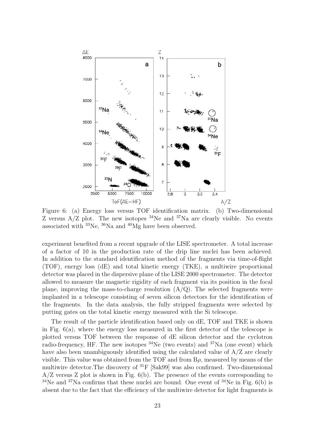

Figure 6: (a) Energy loss versus TOF identification matrix. (b) Two-dimensional Z versus  $A/Z$  plot. The new isotopes <sup>34</sup>Ne and <sup>37</sup>Na are clearly visible. No events associated with <sup>33</sup>Ne, <sup>36</sup>Na and <sup>40</sup>Mg have been observed.

experiment benefited from a recent upgrade of the LISE spectrometer. A total increase of a factor of 10 in the production rate of the drip line nuclei has been achieved. In addition to the standard identification method of the fragments via time-of-flight (TOF), energy loss (dE) and total kinetic energy (TKE), a multiwire proportional detector was placed in the dispersive plane of the LISE 2000 spectrometer. The detector allowed to measure the magnetic rigidity of each fragment via its position in the focal plane, improving the mass-to-charge resolution  $(A/Q)$ . The selected fragments were implanted in a telescope consisting of seven silicon detectors for the identification of the fragments. In the data analysis, the fully stripped fragments were selected by putting gates on the total kinetic energy measured with the Si telescope.

The result of the particle identification based only on dE, TOF and TKE is shown in Fig. 6(a), where the energy loss measured in the first detector of the telescope is plotted versus TOF between the response of dE silicon detector and the cyclotron radio-frequency, HF. The new isotopes  $34$ Ne (two events) and  $37$ Na (one event) which have also been unambiguously identified using the calculated value of A/Z are clearly visible. This value was obtained from the TOF and from  $B\rho$ , measured by means of the multiwire detector.The discovery of <sup>31</sup>F [Sak99] was also confirmed. Two-dimensional A/Z versus Z plot is shown in Fig. 6(b). The presence of the events corresponding to  $34$ Ne and  $37$ Na confirms that these nuclei are bound. One event of  $34$ Ne in Fig. 6(b) is absent due to the fact that the efficiency of the multiwire detector for light fragments is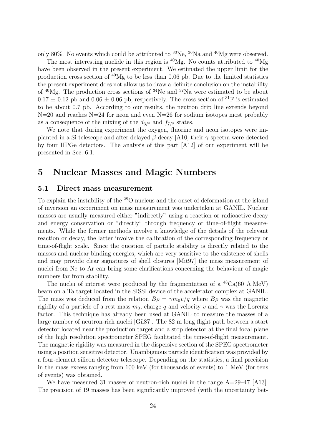only 80%. No events which could be attributed to  $^{33}$ Ne,  $^{36}$ Na and  $^{40}$ Mg were observed.

The most interesting nuclide in this region is  $^{40}Mg$ . No counts attributed to  $^{40}Mg$ have been observed in the present experiment. We estimated the upper limit for the production cross section of  $40$ Mg to be less than 0.06 pb. Due to the limited statistics the present experiment does not allow us to draw a definite conclusion on the instability of  $40$ Mg. The production cross sections of  $34$ Ne and  $37$ Na were estimated to be about  $0.17 \pm 0.12$  pb and  $0.06 \pm 0.06$  pb, respectively. The cross section of <sup>31</sup>F is estimated to be about 0.7 pb. According to our results, the neutron drip line extends beyond  $N=20$  and reaches  $N=24$  for neon and even  $N=26$  for sodium isotopes most probably as a consequence of the mixing of the  $d_{3/2}$  and  $f_{7/2}$  states.

We note that during experiment the oxygen, fluorine and neon isotopes were implanted in a Si telescope and after delayed β-decay [A10] their  $\gamma$  spectra were detected by four HPGe detectors. The analysis of this part [A12] of our experiment will be presented in Sec. 6.1.

## 5 Nuclear Masses and Magic Numbers

### 5.1 Direct mass measurement

To explain the instability of the <sup>28</sup>O nucleus and the onset of deformation at the island of inversion an experiment on mass measurement was undertaken at GANIL. Nuclear masses are usually measured either "indirectly" using a reaction or radioactive decay and energy conservation or "directly" through frequency or time-of-flight measurements. While the former methods involve a knowledge of the details of the relevant reaction or decay, the latter involve the calibration of the corresponding frequency or time-of-flight scale. Since the question of particle stability is directly related to the masses and nuclear binding energies, which are very sensitive to the existence of shells and may provide clear signatures of shell closures [Mit97] the mass measurement of nuclei from Ne to Ar can bring some clarifications concerning the behaviour of magic numbers far from stability.

The nuclei of interest were produced by the fragmentation of a  $^{48}Ca(60 \text{ A}.MeV)$ beam on a Ta target located in the SISSI device of the accelerator complex at GANIL. The mass was deduced from the relation  $B\rho = \gamma m_0 v/q$  where  $B\rho$  was the magnetic rigidity of a particle of a rest mass  $m_0$ , charge q and velocity v and  $\gamma$  was the Lorentz factor. This technique has already been used at GANIL to measure the masses of a large number of neutron-rich nuclei [Gil87]. The 82 m long flight path between a start detector located near the production target and a stop detector at the final focal plane of the high resolution spectrometer SPEG facilitated the time-of-flight measurement. The magnetic rigidity was measured in the dispersive section of the SPEG spectrometer using a position sensitive detector. Unambiguous particle identification was provided by a four-element silicon detector telescope. Depending on the statistics, a final precision in the mass excess ranging from 100 keV (for thousands of events) to 1 MeV (for tens of events) was obtained.

We have measured 31 masses of neutron-rich nuclei in the range  $A=29-47$  [A13]. The precision of 19 masses has been significantly improved (with the uncertainty bet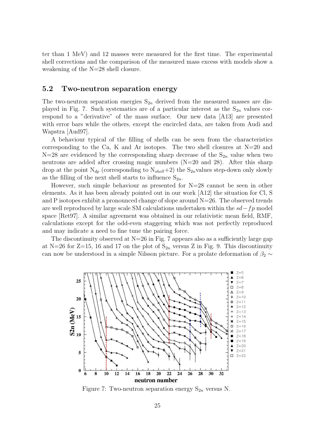ter than 1 MeV) and 12 masses were measured for the first time. The experimental shell corrections and the comparison of the measured mass excess with models show a weakening of the N=28 shell closure.

## 5.2 Two-neutron separation energy

The two-neutron separation energies  $S_{2n}$  derived from the measured masses are displayed in Fig. 7. Such systematics are of a particular interest as the  $S_{2n}$  values correspond to a "derivative" of the mass surface. Our new data [A13] are presented with error bars while the others, except the encircled data, are taken from Audi and Wapstra [Aud97].

A behaviour typical of the filling of shells can be seen from the characteristics corresponding to the Ca, K and Ar isotopes. The two shell closures at  $N=20$  and  $N=28$  are evidenced by the corresponding sharp decrease of the  $S_{2n}$  value when two neutrons are added after crossing magic numbers (N=20 and 28). After this sharp drop at the point  $N_{dp}$  (corresponding to  $N_{shell}+2$ ) the  $S_{2n}$  values step-down only slowly as the filling of the next shell starts to influence  $S_{2n}$ .

However, such simple behaviour as presented for  $N=28$  cannot be seen in other elements. As it has been already pointed out in our work [A12] the situation for Cl, S and P isotopes exhibit a pronounced change of slope around  $N=26$ . The observed trends are well reproduced by large scale SM calculations undertaken within the sd−fp model space [Ret97]. A similar agreement was obtained in our relativistic mean field, RMF, calculations except for the odd-even staggering which was not perfectly reproduced and may indicate a need to fine tune the pairing force.

The discontinuity observed at  $N=26$  in Fig. 7 appears also as a sufficiently large gap at N=26 for Z=15, 16 and 17 on the plot of  $S_{2n}$  versus Z in Fig. 9. This discontinuity can now be understood in a simple Nilsson picture. For a prolate deformation of  $\beta_2 \sim$ 



Figure 7: Two-neutron separation energy  $S_{2n}$  versus N.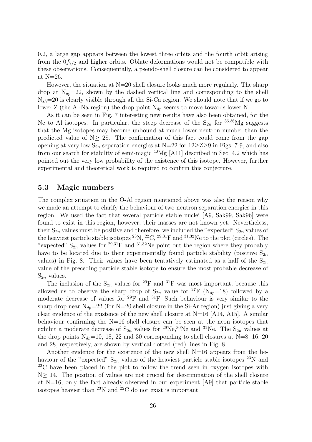0.2, a large gap appears between the lowest three orbits and the fourth orbit arising from the  $0f_{7/2}$  and higher orbits. Oblate deformations would not be compatible with these observations. Consequentally, a pseudo-shell closure can be considered to appear at N=26.

However, the situation at  $N=20$  shell closure looks much more regularly. The sharp drop at  $N_{dp}=22$ , shown by the dashed vertical line and corresponding to the shell  $N_{sh}=20$  is clearly visible through all the Si-Ca region. We should note that if we go to lower Z (the Al-Na region) the drop point  $N_{dp}$  seems to move towards lower N.

As it can be seen in Fig. 7 interesting new results have also been obtained, for the Ne to Al isotopes. In particular, the steep decrease of the  $S_{2n}$  for  $35,36$ Mg suggests that the Mg isotopes may become unbound at much lower neutron number than the predicted value of  $N \geq 28$ . The confirmation of this fact could come from the gap opening at very low  $S_{2n}$  separation energies at N=22 for  $12\geq Z\geq 9$  in Figs. 7-9, and also from our search for stability of semi-magic <sup>40</sup>Mg [A11] described in Sec. 4.2 which has pointed out the very low probability of the existence of this isotope. However, further experimental and theoretical work is required to confirm this conjecture.

### 5.3 Magic numbers

The complex situation in the O-Al region mentioned above was also the reason why we made an attempt to clarify the behaviour of two-neutron separation energies in this region. We used the fact that several particle stable nuclei [A9, Sak99, Sak96] were found to exist in this region, however, their masses are not known yet. Nevertheless, their  $S_{2n}$  values must be positive and therefore, we included the "expected"  $S_{2n}$  values of the heaviest particle stable isotopes  $^{23}N$ ,  $^{22}C$ ,  $^{29,31}F$  and  $^{31,32}Ne$  to the plot (circles). The "expected"  $S_{2n}$  values for <sup>29,31</sup>F and <sup>31,32</sup>Ne point out the region where they probably have to be located due to their experimentally found particle stability (positive  $S_{2n}$ values) in Fig. 8. Their values have been tentatively estimated as a half of the  $S_{2n}$ value of the preceding particle stable isotope to ensure the most probable decrease of  $S_{2n}$  values.

The inclusion of the  $S_{2n}$  values for <sup>29</sup>F and <sup>31</sup>F was most important, because this allowed us to observe the sharp drop of  $S_{2n}$  value for <sup>27</sup>F ( $N_{dp} = 18$ ) followed by a moderate decrease of values for  $^{29}F$  and  $^{31}F$ . Such behaviour is very similar to the sharp drop near  $N_{dp}=22$  (for N=20 shell closure in the Si-Ar region) just giving a very clear evidence of the existence of the new shell closure at  $N=16$  [A14, A15]. A similar behaviour confirming the N=16 shell closure can be seen at the neon isotopes that exhibit a moderate decrease of  $S_{2n}$  values for <sup>29</sup>Ne,<sup>30</sup>Ne and <sup>31</sup>Ne. The  $S_{2n}$  values at the drop points  $N_{dp}=10$ , 18, 22 and 30 corresponding to shell closures at N=8, 16, 20 and 28, respectively, are shown by vertical dotted (red) lines in Fig. 8.

Another evidence for the existence of the new shell N=16 appears from the behaviour of the "expected"  $S_{2n}$  values of the heaviest particle stable isotopes <sup>23</sup>N and  $22^{\circ}$ C have been placed in the plot to follow the trend seen in oxygen isotopes with N≥ 14. The position of values are not crucial for determination of the shell closure at  $N=16$ , only the fact already observed in our experiment  $[A9]$  that particle stable isotopes heavier than <sup>23</sup>N and <sup>22</sup>C do not exist is important.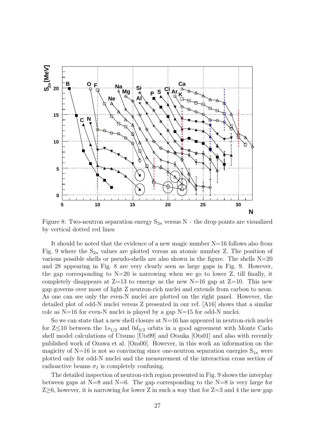

Figure 8: Two-neutron separation energy  $S_{2n}$  versus N – the drop points are visualized by vertical dotted red lines

It should be noted that the evidence of a new magic number N=16 follows also from Fig. 9 where the  $S_{2n}$  values are plotted versus an atomic number Z. The position of various possible shells or pseudo-shells are also shown in the figure. The shells  $N=20$ and 28 appearing in Fig. 8 are very clearly seen as large gaps in Fig. 9. However, the gap corresponding to  $N=20$  is narrowing when we go to lower Z, till finally, it completely disappears at  $Z=13$  to emerge as the new N=16 gap at  $Z=10$ . This new gap governs over most of light Z neutron-rich nuclei and extends from carbon to neon. As one can see only the even-N nuclei are plotted on the right panel. However, the detailed plot of odd-N nuclei versus Z presented in our ref. [A16] shows that a similar role as N=16 for even-N nuclei is played by a gap N=15 for odd-N nuclei.

So we can state that a new shell closure at  $N=16$  has appeared in neutron-rich nuclei for  $Z\leq 10$  between the  $1s_{1/2}$  and  $0d_{3/2}$  orbits in a good agreement with Monte Carlo shell model calculations of Utsuno [Uts99] and Otsuka [Ots01] and also with recently published work of Ozawa et al. [Oza00]. However, in this work an information on the magicity of N=16 is not so convincing since one-neutron separation energies  $S_{1n}$  were plotted only for odd-N nuclei and the measurement of the interaction cross section of radioactive beams  $\sigma_I$  is completely confusing.

The detailed inspection of neutron-rich region presented in Fig. 9 shows the interplay between gaps at  $N=8$  and  $N=6$ . The gap corresponding to the  $N=8$  is very large for  $Z\geq 6$ , however, it is narrowing for lower Z in such a way that for  $Z=3$  and 4 the new gap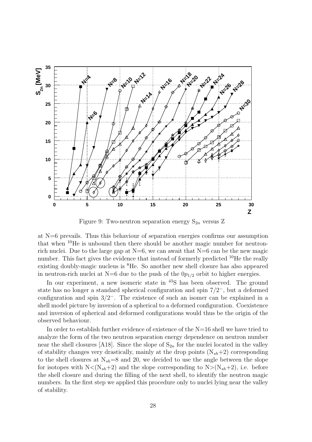

Figure 9: Two-neutron separation energy  $S_{2n}$  versus Z

at N=6 prevails. Thus this behaviour of separation energies confirms our assumption that when <sup>10</sup>He is unbound then there should be another magic number for neutronrich nuclei. Due to the large gap at  $N=6$ , we can await that  $N=6$  can be the new magic number. This fact gives the evidence that instead of formerly predicted  $^{10}$ He the really existing doubly-magic nucleus is <sup>8</sup>He. So another new shell closure has also appeared in neutron-rich nuclei at N=6 due to the push of the  $0p_{1/2}$  orbit to higher energies.

In our experiment, a new isomeric state in <sup>43</sup>S has been observed. The ground state has no longer a standard spherical configuration and spin 7/2<sup>−</sup>, but a deformed configuration and spin 3/2<sup>−</sup>. The existence of such an isomer can be explained in a shell model picture by inversion of a spherical to a deformed configuration. Coexistence and inversion of spherical and deformed configurations would thus be the origin of the observed behaviour.

In order to establish further evidence of existence of the  $N=16$  shell we have tried to analyze the form of the two neutron separation energy dependence on neutron number near the shell closures [A18]. Since the slope of  $S_{2n}$  for the nuclei located in the valley of stability changes very drastically, mainly at the drop points  $(N_{sh}+2)$  corresponding to the shell closures at  $N_{sh}=8$  and 20, we decided to use the angle between the slope for isotopes with  $N < (N_{sh}+2)$  and the slope corresponding to  $N > (N_{sh}+2)$ , i.e. before the shell closure and during the filling of the next shell, to identify the neutron magic numbers. In the first step we applied this procedure only to nuclei lying near the valley of stability.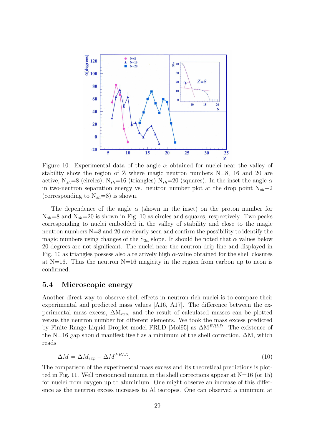

Figure 10: Experimental data of the angle  $\alpha$  obtained for nuclei near the valley of stability show the region of Z where magic neutron numbers  $N=8$ , 16 and 20 are active; N<sub>sh</sub>=8 (circles), N<sub>sh</sub>=16 (triangles) N<sub>sh</sub>=20 (squares). In the inset the angle  $\alpha$ in two-neutron separation energy vs. neutron number plot at the drop point  $N_{sh}+2$ (corresponding to  $N_{sh}=8$ ) is shown.

The dependence of the angle  $\alpha$  (shown in the inset) on the proton number for  $N_{sh}=8$  and  $N_{sh}=20$  is shown in Fig. 10 as circles and squares, respectively. Two peaks corresponding to nuclei embedded in the valley of stability and close to the magic neutron numbers N=8 and 20 are clearly seen and confirm the possibility to identify the magic numbers using changes of the  $S_{2n}$  slope. It should be noted that  $\alpha$  values below 20 degrees are not significant. The nuclei near the neutron drip line and displayed in Fig. 10 as triangles possess also a relatively high  $\alpha$ -value obtained for the shell closures at  $N=16$ . Thus the neutron  $N=16$  magicity in the region from carbon up to neon is confirmed.

### 5.4 Microscopic energy

Another direct way to observe shell effects in neutron-rich nuclei is to compare their experimental and predicted mass values [A16, A17]. The difference between the experimental mass excess,  $\Delta M_{exp}$ , and the result of calculated masses can be plotted versus the neutron number for different elements. We took the mass excess predicted by Finite Range Liquid Droplet model FRLD [Mol95] as  $\Delta M^{FRLD}$ . The existence of the N=16 gap should manifest itself as a minimum of the shell correction,  $\Delta M$ , which reads

$$
\Delta M = \Delta M_{exp} - \Delta M^{FRLD}.\tag{10}
$$

The comparison of the experimental mass excess and its theoretical predictions is plotted in Fig. 11. Well pronounced minima in the shell corrections appear at  $N=16$  (or 15) for nuclei from oxygen up to aluminium. One might observe an increase of this difference as the neutron excess increases to Al isotopes. One can observed a minimum at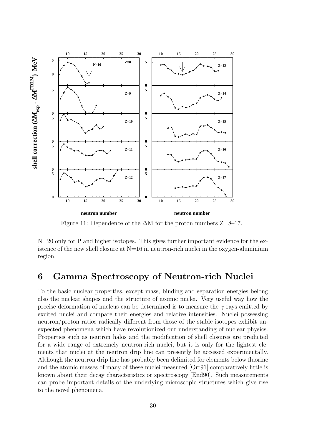

Figure 11: Dependence of the  $\Delta M$  for the proton numbers Z=8–17.

N=20 only for P and higher isotopes. This gives further important evidence for the existence of the new shell closure at  $N=16$  in neutron-rich nuclei in the oxygen-aluminium region.

## 6 Gamma Spectroscopy of Neutron-rich Nuclei

To the basic nuclear properties, except mass, binding and separation energies belong also the nuclear shapes and the structure of atomic nuclei. Very useful way how the precise deformation of nucleus can be determined is to measure the  $\gamma$ -rays emitted by excited nuclei and compare their energies and relative intensities. Nuclei possessing neutron/proton ratios radically different from those of the stable isotopes exhibit unexpected phenomena which have revolutionized our understanding of nuclear physics. Properties such as neutron halos and the modification of shell closures are predicted for a wide range of extremely neutron-rich nuclei, but it is only for the lightest elements that nuclei at the neutron drip line can presently be accessed experimentally. Although the neutron drip line has probably been delimited for elements below fluorine and the atomic masses of many of these nuclei measured [Orr91] comparatively little is known about their decay characteristics or spectroscopy [End90]. Such measurements can probe important details of the underlying microscopic structures which give rise to the novel phenomena.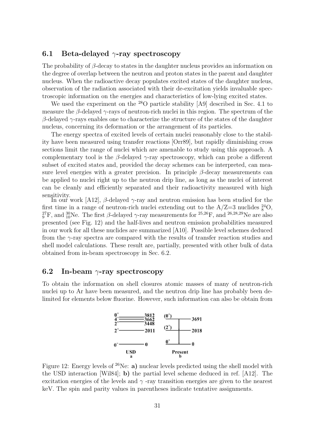### 6.1 Beta-delayed  $\gamma$ -ray spectroscopy

The probability of  $\beta$ -decay to states in the daughter nucleus provides an information on the degree of overlap between the neutron and proton states in the parent and daughter nucleus. When the radioactive decay populates excited states of the daughter nucleus, observation of the radiation associated with their de-excitation yields invaluable spectroscopic information on the energies and characteristics of low-lying excited states.

We used the experiment on the <sup>28</sup>O particle stability [A9] described in Sec. 4.1 to measure the  $\beta$ -delayed  $\gamma$ -rays of neutron-rich nuclei in this region. The spectrum of the  $β$ -delayed γ-rays enables one to characterize the structure of the states of the daughter nucleus, concerning its deformation or the arrangement of its particles.

The energy spectra of excited levels of certain nuclei reasonably close to the stability have been measured using transfer reactions [Orr89], but rapidly diminishing cross sections limit the range of nuclei which are amenable to study using this approach. A complementary tool is the  $\beta$ -delayed  $\gamma$ -ray spectroscopy, which can probe a different subset of excited states and, provided the decay schemes can be interpreted, can measure level energies with a greater precision. In principle  $\beta$ -decay measurements can be applied to nuclei right up to the neutron drip line, as long as the nuclei of interest can be cleanly and efficiently separated and their radioactivity measured with high sensitivity.

In our work [A12],  $\beta$ -delayed  $\gamma$ -ray and neutron emission has been studied for the first time in a range of neutron-rich nuclei extending out to the  $A/Z=3$  nuclides  $^{24}_{8}O$ ,  $^{27}_{9}F$ , and  $^{30}_{10}Ne$ . The first  $\beta$ -delayed  $\gamma$ -ray measurements for  $^{25,26}F$ , and  $^{26,28,29}Ne$  are also presented (see Fig. 12) and the half-lives and neutron emission probabilities measured in our work for all these nuclides are summarized [A10]. Possible level schemes deduced from the  $\gamma$ -ray spectra are compared with the results of transfer reaction studies and shell model calculations. These result are, partially, presented with other bulk of data obtained from in-beam spectroscopy in Sec. 6.2.

### 6.2 In-beam  $\gamma$ -ray spectroscopy

To obtain the information on shell closures atomic masses of many of neutron-rich nuclei up to Ar have been measured, and the neutron drip line has probably been delimited for elements below fluorine. However, such information can also be obtain from



Figure 12: Energy levels of  $26$ Ne: a) nuclear levels predicted using the shell model with the USD interaction [Wil84]; b) the partial level scheme deduced in ref. [A12]. The excitation energies of the levels and  $\gamma$ -ray transition energies are given to the nearest keV. The spin and parity values in parentheses indicate tentative assignments.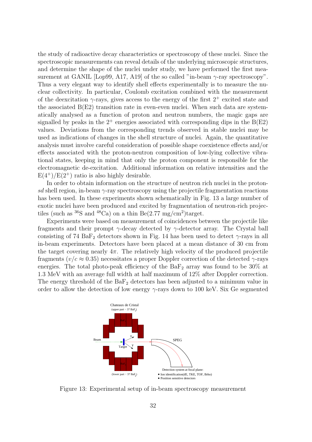the study of radioactive decay characteristics or spectroscopy of these nuclei. Since the spectroscopic measurements can reveal details of the underlying microscopic structures, and determine the shape of the nuclei under study, we have performed the first measurement at GANIL [Lop99, A17, A19] of the so called "in-beam  $\gamma$ -ray spectroscopy". Thus a very elegant way to identify shell effects experimentally is to measure the nuclear collectivity. In particular, Coulomb excitation combined with the measurement of the deexcitation  $\gamma$ -rays, gives access to the energy of the first  $2^+$  excited state and the associated B(E2) transition rate in even-even nuclei. When such data are systematically analysed as a function of proton and neutron numbers, the magic gaps are signalled by peaks in the  $2^+$  energies associated with corresponding dips in the  $B(E2)$ values. Deviations from the corresponding trends observed in stable nuclei may be used as indications of changes in the shell structure of nuclei. Again, the quantitative analysis must involve careful consideration of possible shape coexistence effects and/or effects associated with the proton-neutron composition of low-lying collective vibrational states, keeping in mind that only the proton component is responsible for the electromagnetic de-excitation. Additional information on relative intensities and the  $E(4^+)/E(2^+)$  ratio is also highly desirable.

In order to obtain information on the structure of neutron rich nuclei in the protonsd shell region, in-beam  $\gamma$ -ray spectroscopy using the projectile fragmentation reactions has been used. In these experiments shown schematically in Fig. 13 a large number of exotic nuclei have been produced and excited by fragmentation of neutron-rich projectiles (such as  ${}^{36}S$  and  ${}^{48}Ca$ ) on a thin Be(2.77 mg/cm<sup>2</sup>)target.

Experiments were based on measurement of coincidences between the projectile like fragments and their prompt  $\gamma$ -decay detected by  $\gamma$ -detector array. The Crystal ball consisting of 74  $BaF_2$  detectors shown in Fig. 14 has been used to detect  $\gamma$ -rays in all in-beam experiments. Detectors have been placed at a mean distance of 30 cm from the target covering nearly  $4\pi$ . The relatively high velocity of the produced projectile fragments ( $v/c \approx 0.35$ ) necessitates a proper Doppler correction of the detected  $\gamma$ -rays energies. The total photo-peak efficiency of the  $BaF_2$  array was found to be 30% at 1.3 MeV with an average full width at half maximum of 12% after Doppler correction. The energy threshold of the  $BaF<sub>2</sub>$  detectors has been adjusted to a minimum value in order to allow the detection of low energy  $\gamma$ -rays down to 100 keV. Six Ge segmented



Figure 13: Experimental setup of in-beam spectroscopy measurement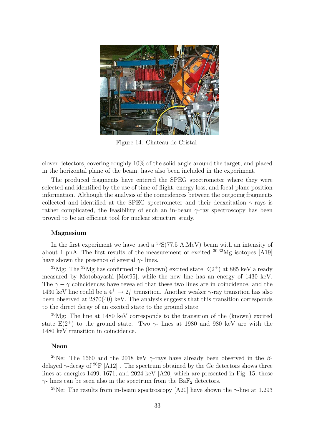

Figure 14: Chateau de Cristal

clover detectors, covering roughly 10% of the solid angle around the target, and placed in the horizontal plane of the beam, have also been included in the experiment.

The produced fragments have entered the SPEG spectrometer where they were selected and identified by the use of time-of-flight, energy loss, and focal-plane position information. Although the analysis of the coincidences between the outgoing fragments collected and identified at the SPEG spectrometer and their deexcitation  $\gamma$ -rays is rather complicated, the feasibility of such an in-beam  $\gamma$ -ray spectroscopy has been proved to be an efficient tool for nuclear structure study.

#### Magnesium

In the first experiment we have used a  ${}^{36}S(77.5 \text{ A}.MeV)$  beam with an intensity of about 1 pnA. The first results of the measurement of excited  $30,32$  Mg isotopes [A19] have shown the presence of several  $\gamma$ - lines.

<sup>32</sup>Mg: The <sup>32</sup>Mg has confirmed the (known) excited state  $E(2^+)$  at 885 keV already measured by Motobayashi [Mot95], while the new line has an energy of 1430 keV. The  $\gamma - \gamma$  coincidences have revealed that these two lines are in coincidence, and the 1430 keV line could be a  $4^+_1 \rightarrow 2^+_1$  transition. Another weaker  $\gamma$ -ray transition has also been observed at 2870(40) keV. The analysis suggests that this transition corresponds to the direct decay of an excited state to the ground state.

<sup>30</sup>Mg: The line at 1480 keV corresponds to the transition of the (known) excited state  $E(2^+)$  to the ground state. Two  $\gamma$ - lines at 1980 and 980 keV are with the 1480 keV transition in coincidence.

#### Neon

<sup>26</sup>Ne: The 1660 and the 2018 keV  $\gamma$ -rays have already been observed in the  $\beta$ delayed  $\gamma$ -decay of <sup>26</sup>F [A12]. The spectrum obtained by the Ge detectors shows three lines at energies 1499, 1671, and 2024 keV [A20] which are presented in Fig. 15, these  $\gamma$ - lines can be seen also in the spectrum from the BaF<sub>2</sub> detectors.

<sup>28</sup>Ne: The results from in-beam spectroscopy [A20] have shown the  $\gamma$ -line at 1.293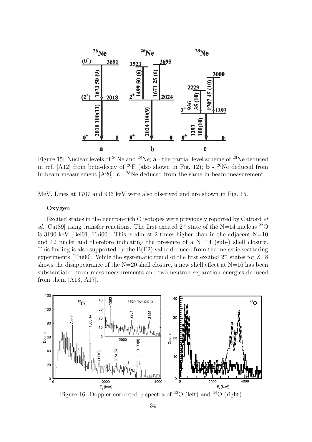

Figure 15: Nuclear levels of  $^{26}$ Ne and  $^{28}$ Ne; **a** - the partial level scheme of  $^{26}$ Ne deduced in ref. [A12] from beta-decay of  $^{26}F$  (also shown in Fig. 12); **b** -  $^{26}Ne$  deduced from in-beam measurement  $[A20]$ ;  $c - {}^{28}Ne$  deduced from the same in-beam measurement.

MeV. Lines at 1707 and 936 keV were also observed and are shown in Fig. 15.

#### Oxygen

Excited states in the neutron-rich O isotopes were previously reported by Catford et al. [Cat89] using transfer reactions. The first excited  $2^+$  state of the N=14 nucleus <sup>22</sup>O is 3190 keV [Bel01, Thi00]. This is almost 2 times higher than in the adjacent  $N=10$ and 12 nuclei and therefore indicating the presence of a  $N=14$  (sub-) shell closure. This finding is also supported by the B(E2) value deduced from the inelastic scattering experiments [Thi00]. While the systematic trend of the first excited  $2^+$  states for  $Z=8$ shows the disappearance of the  $N=20$  shell closure, a new shell effect at  $N=16$  has been substantiated from mass measurements and two neutron separation energies deduced from them [A13, A17].



Figure 16: Doppler-corrected  $\gamma$ -spectra of <sup>22</sup>O (left) and <sup>24</sup>O (right).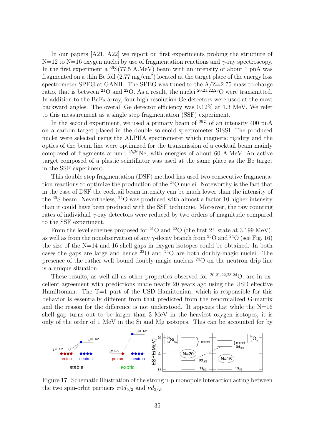In our papers [A21, A22] we report on first experiments probing the structure of  $N=12$  to  $N=16$  oxygen nuclei by use of fragmentation reactions and  $\gamma$ -ray spectroscopy. In the first experiment a  ${}^{36}S(77.5 \text{ A}. \text{MeV})$  beam with an intensity of about 1 pnA was fragmented on a thin Be foil  $(2.77 \text{ mg/cm}^2)$  located at the target place of the energy loss spectrometer SPEG at GANIL. The SPEG was tuned to the  $A/Z=2.75$  mass to charge ratio, that is between <sup>21</sup>O and <sup>22</sup>O. As a result, the nuclei <sup>20,21,22,23</sup>O were transmitted. In addition to the  $BaF<sub>2</sub>$  array, four high resolution Ge detectors were used at the most backward angles. The overall Ge detector efficiency was 0.12% at 1.3 MeV. We refer to this measurement as a single step fragmentation (SSF) experiment.

In the second experiment, we used a primary beam of  ${}^{36}S$  of an intensity 400 pnA on a carbon target placed in the double solenoid spectrometer SISSI. The produced nuclei were selected using the ALPHA spectrometer which magnetic rigidity and the optics of the beam line were optimized for the transmission of a cocktail beam mainly composed of fragments around  $25,26$ Ne, with energies of about 60 A.MeV. An active target composed of a plastic scintillator was used at the same place as the Be target in the SSF experiment.

This double step fragmentation (DSF) method has used two consecutive fragmentation reactions to optimize the production of the <sup>24</sup>O nuclei. Noteworthy is the fact that in the case of DSF the cocktail beam intensity can be much lower than the intensity of the  ${}^{36}S$  beam. Nevertheless,  ${}^{24}O$  was produced with almost a factor 10 higher intensity than it could have been produced with the SSF technique. Moreover, the raw counting rates of individual  $\gamma$ -ray detectors were reduced by two orders of magnitude compared to the SSF experiment.

From the level schemes proposed for <sup>21</sup>O and <sup>22</sup>O (the first  $2^+$  state at 3.199 MeV), as well as from the nonobservation of any  $\gamma$ -decay branch from <sup>23</sup>O and <sup>24</sup>O (see Fig. 16) the size of the N=14 and 16 shell gaps in oxygen isotopes could be obtained. In both cases the gaps are large and hence  $^{22}O$  and  $^{24}O$  are both doubly-magic nuclei. The presence of the rather well bound doubly-magic nucleus <sup>24</sup>O on the neutron drip line is a unique situation.

These results, as well all as other properties observed for  $20,21,22,23,24$ O, are in excellent agreement with predictions made nearly 20 years ago using the USD effective Hamiltonian. The  $T=1$  part of the USD Hamiltonian, which is responsible for this behavior is essentially different from that predicted from the renormalized G-matrix and the reason for the difference is not understood. It appears that while the  $N=16$ shell gap turns out to be larger than 3 MeV in the heaviest oxygen isotopes, it is only of the order of 1 MeV in the Si and Mg isotopes. This can be accounted for by



Figure 17: Schematic illustration of the strong n-p monopole interaction acting between the two spin-orbit partners  $\pi 0d_{5/2}$  and  $\nu d_{3/2}$ .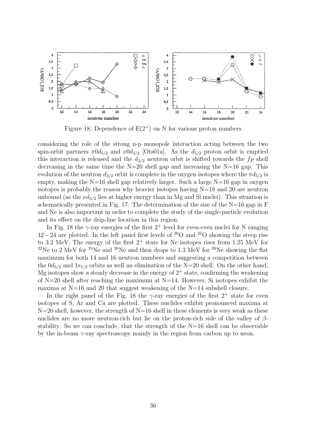

Figure 18: Dependence of  $E(2^+)$  on N for various proton numbers

considering the role of the strong n-p monopole interaction acting between the two spin-orbit partners  $\pi 0d_{5/2}$  and  $\nu 0d_{3/2}$  [Ots01a]. As the  $d_{5/2}$  proton orbit is emptied this interaction is released and the  $d_{3/2}$  neutron orbit is shifted towards the fp shell decreasing in the same time the  $N=20$  shell gap and increasing the  $N=16$  gap. This evolution of the neutron  $d_{3/2}$  orbit is complete in the oxygen isotopes where the  $\pi d_{5/2}$  is empty, making the  $N=16$  shell gap relatively larger. Such a large  $N=16$  gap in oxygen isotopes is probably the reason why heavier isotopes having N=18 and 20 are neutron unbound (as the  $\nu d_{3/2}$  lies at higher energy than in Mg and Si nuclei). This situation is schematically presented in Fig. 17. The determination of the size of the  $N=16$  gap in F and Ne is also important in order to complete the study of the single-particle evolution and its effect on the drip-line location in this region.

In Fig. 18 the  $\gamma$ -ray energies of the first  $2^+$  level for even-even nuclei for N ranging 12 - 24 are plotted. In the left panel first levels of  $20^{\circ}$  and  $2^{\circ}$ O showing the steep rise to 3.2 MeV. The energy of the first  $2^+$  state for Ne isotopes rises from 1.25 MeV for <sup>22</sup>Ne to 2 MeV for <sup>24</sup>Ne and <sup>26</sup>Ne and then drops to 1.3 MeV for <sup>28</sup>Ne showing the flat maximum for both 14 and 16 neutron numbers and suggesting a competition between the  $0d_{5/2}$  and  $1s_{1/2}$  orbits as well an elimination of the N=20 shell. On the other hand, Mg isotopes show a steady decrease in the energy of  $2^+$  state, confirming the weakening of  $N=20$  shell after reaching the maximum at  $N=14$ . However, Si isotopes exhibit the maxima at  $N=16$  and 20 that suggest weakening of the  $N=14$  subshell closure.

In the right panel of the Fig. 18 the  $\gamma$ -ray energies of the first  $2^+$  state for even isotopes of S, Ar and Ca are plotted. These nuclides exhibit pronounced maxima at  $N=20$  shell, however, the strength of  $N=16$  shell in these elements is very weak as these nuclides are no more neutron-rich but lie on the proton-rich side of the valley of  $\beta$ stability. So we can conclude, that the strength of the N=16 shell can be observable by the in-beam  $\gamma$ -ray spectroscopy mainly in the region from carbon up to neon.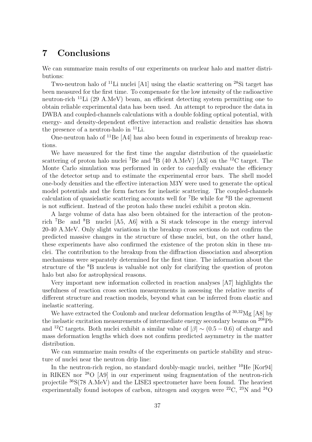## 7 Conclusions

We can summarize main results of our experiments on nuclear halo and matter distributions:

Two-neutron halo of  $^{11}$ Li nuclei [A1] using the elastic scattering on  $^{28}$ Si target has been measured for the first time. To compensate for the low intensity of the radioactive neutron-rich <sup>11</sup>Li (29 A.MeV) beam, an efficient detecting system permitting one to obtain reliable experimental data has been used. An attempt to reproduce the data in DWBA and coupled-channels calculations with a double folding optical potential, with energy- and density-dependent effective interaction and realistic densities has shown the presence of a neutron-halo in  $^{11}$ Li.

One-neutron halo of <sup>11</sup>Be [A4] has also been found in experiments of breakup reactions.

We have measured for the first time the angular distribution of the quasielastic scattering of proton halo nuclei <sup>7</sup>Be and  ${}^{8}B$  (40 A.MeV) [A3] on the <sup>12</sup>C target. The Monte Carlo simulation was performed in order to carefully evaluate the efficiency of the detector setup and to estimate the experimental error bars. The shell model one-body densities and the effective interaction M3Y were used to generate the optical model potentials and the form factors for inelastic scattering. The coupled-channels calculation of quasielastic scattering accounts well for  ${}^{7}Be$  while for  ${}^{8}B$  the agreement is not sufficient. Instead of the proton halo these nuclei exhibit a proton skin.

A large volume of data has also been obtained for the interaction of the protonrich <sup>7</sup>Be and <sup>8</sup>B nuclei [A5, A6] with a Si stack telescope in the energy interval 20-40 A.MeV. Only slight variations in the breakup cross sections do not confirm the predicted massive changes in the structure of these nuclei, but, on the other hand, these experiments have also confirmed the existence of the proton skin in these nuclei. The contribution to the breakup from the diffraction dissociation and absorption mechanisms were separately determined for the first time. The information about the structure of the <sup>8</sup>B nucleus is valuable not only for clarifying the question of proton halo but also for astrophysical reasons.

Very important new information collected in reaction analyses [A7] highlights the usefulness of reaction cross section measurements in assessing the relative merits of different structure and reaction models, beyond what can be inferred from elastic and inelastic scattering.

We have extracted the Coulomb and nuclear deformation lengths of  $30,32$ Mg [A8] by the inelastic excitation measurements of intermediate energy secondary beams on <sup>208</sup>Pb and <sup>12</sup>C targets. Both nuclei exhibit a similar value of  $|\beta| \sim (0.5 - 0.6)$  of charge and mass deformation lengths which does not confirm predicted asymmetry in the matter distribution.

We can summarize main results of the experiments on particle stability and structure of nuclei near the neutron drip line:

In the neutron-rich region, no standard doubly-magic nuclei, neither <sup>10</sup>He [Kor94] in RIKEN nor <sup>28</sup>O [A9] in our experiment using fragmentation of the neutron-rich projectile <sup>36</sup>S(78 A.MeV) and the LISE3 spectrometer have been found. The heaviest experimentally found isotopes of carbon, nitrogen and oxygen were  ${}^{22}C$ ,  ${}^{23}N$  and  ${}^{24}O$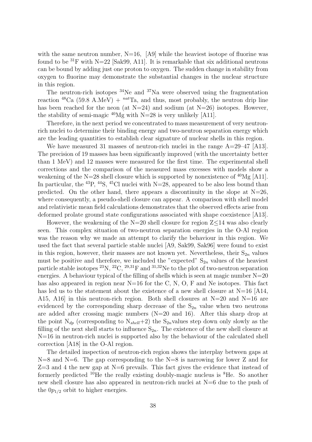with the same neutron number,  $N=16$ ,  $[A9]$  while the heaviest isotope of fluorine was found to be  ${}^{31}F$  with N=22 [Sak99, A11]. It is remarkable that six additional neutrons can be bound by adding just one proton to oxygen. The sudden change in stability from oxygen to fluorine may demonstrate the substantial changes in the nuclear structure in this region.

The neutron-rich isotopes  $34$ Ne and  $37$ Na were observed using the fragmentation reaction  ${}^{48}Ca$  (59.8 A.MeV) +  ${}^{nat}Ta$ , and thus, most probably, the neutron drip line has been reached for the neon (at  $N=24$ ) and sodium (at  $N=26$ ) isotopes. However, the stability of semi-magic  $^{40}Mg$  with N=28 is very unlikely [A11].

Therefore, in the next period we concentrated to mass measurement of very neutronrich nuclei to determine their binding energy and two-neutron separation energy which are the leading quantities to establish clear signature of nuclear shells in this region.

We have measured 31 masses of neutron-rich nuclei in the range  $A=29-47$  [A13]. The precision of 19 masses has been significantly improved (with the uncertainty better than 1 MeV) and 12 masses were measured for the first time. The experimental shell corrections and the comparison of the measured mass excesses with models show a weakening of the N=28 shell closure which is supported by nonexistence of <sup>40</sup>Mg [A11]. In particular, the <sup>43</sup>P, <sup>44</sup>S, <sup>45</sup>Cl nuclei with  $N=28$ , appeared to be also less bound than predicted. On the other hand, there appears a discontinuity in the slope at  $N=26$ , where consequently, a pseudo-shell closure can appear. A comparison with shell model and relativistic mean field calculations demonstrates that the observed effects arise from deformed prolate ground state configurations associated with shape coexistence [A13].

However, the weakening of the  $N=20$  shell closure for region  $Z<14$  was also clearly seen. This complex situation of two-neutron separation energies in the O-Al region was the reason why we made an attempt to clarify the behaviour in this region. We used the fact that several particle stable nuclei [A9, Sak99, Sak96] were found to exist in this region, however, their masses are not known yet. Nevertheless, their  $S_{2n}$  values must be positive and therefore, we included the "expected"  $S_{2n}$  values of the heaviest particle stable isotopes  $^{23}N$ ,  $^{22}C$ ,  $^{29,31}F$  and  $^{31,32}Ne$  to the plot of two-neutron separation energies. A behaviour typical of the filling of shells which is seen at magic number  $N=20$ has also appeared in region near  $N=16$  for the C, N, O, F and Ne isotopes. This fact has led us to the statement about the existence of a new shell closure at  $N=16$  [A14, A15, A16 in this neutron-rich region. Both shell closures at  $N=20$  and  $N=16$  are evidenced by the corresponding sharp decrease of the  $S_{2n}$  value when two neutrons are added after crossing magic numbers (N=20 and 16). After this sharp drop at the point  $N_{dp}$  (corresponding to  $N_{shell}+2$ ) the  $S_{2n}$  values step down only slowly as the filling of the next shell starts to influence  $S_{2n}$ . The existence of the new shell closure at N=16 in neutron-rich nuclei is supported also by the behaviour of the calculated shell correction [A18] in the O-Al region.

The detailed inspection of neutron-rich region shows the interplay between gaps at  $N=8$  and  $N=6$ . The gap corresponding to the  $N=8$  is narrowing for lower Z and for  $Z=3$  and 4 the new gap at N=6 prevails. This fact gives the evidence that instead of formerly predicted <sup>10</sup>He the really existing doubly-magic nucleus is <sup>8</sup>He. So another new shell closure has also appeared in neutron-rich nuclei at N=6 due to the push of the  $0p_{1/2}$  orbit to higher energies.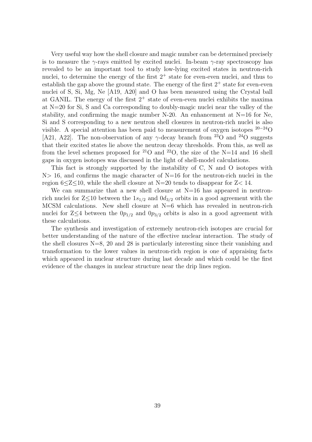Very useful way how the shell closure and magic number can be determined precisely is to measure the  $\gamma$ -rays emitted by excited nuclei. In-beam  $\gamma$ -ray spectroscopy has revealed to be an important tool to study low-lying excited states in neutron-rich nuclei, to determine the energy of the first  $2^+$  state for even-even nuclei, and thus to establish the gap above the ground state. The energy of the first  $2^+$  state for even-even nuclei of S, Si, Mg, Ne [A19, A20] and O has been measured using the Crystal ball at GANIL. The energy of the first  $2^+$  state of even-even nuclei exhibits the maxima at N=20 for Si, S and Ca corresponding to doubly-magic nuclei near the valley of the stability, and confirming the magic number  $N-20$ . An enhancement at  $N=16$  for Ne, Si and S corresponding to a new neutron shell closures in neutron-rich nuclei is also visible. A special attention has been paid to measurement of oxygen isotopes  $20-24$ O [A21, A22]. The non-observation of any  $\gamma$ -decay branch from <sup>23</sup>O and <sup>24</sup>O suggests that their excited states lie above the neutron decay thresholds. From this, as well as from the level schemes proposed for <sup>21</sup>O and <sup>22</sup>O, the size of the N=14 and 16 shell gaps in oxygen isotopes was discussed in the light of shell-model calculations.

This fact is strongly supported by the instability of C, N and O isotopes with  $N> 16$ , and confirms the magic character of  $N=16$  for the neutron-rich nuclei in the region  $6 \leq Z \leq 10$ , while the shell closure at N=20 tends to disappear for  $Z \leq 14$ .

We can summarize that a new shell closure at  $N=16$  has appeared in neutronrich nuclei for  $Z\leq 10$  between the  $1s_{1/2}$  and  $0d_{3/2}$  orbits in a good agreement with the MCSM calculations. New shell closure at  $N=6$  which has revealed in neutron-rich nuclei for  $Z\leq 4$  between the  $0p_{1/2}$  and  $0p_{3/2}$  orbits is also in a good agreement with these calculations.

The synthesis and investigation of extremely neutron-rich isotopes are crucial for better understanding of the nature of the effective nuclear interaction. The study of the shell closures  $N=8$ , 20 and 28 is particularly interesting since their vanishing and transformation to the lower values in neutron-rich region is one of appraising facts which appeared in nuclear structure during last decade and which could be the first evidence of the changes in nuclear structure near the drip lines region.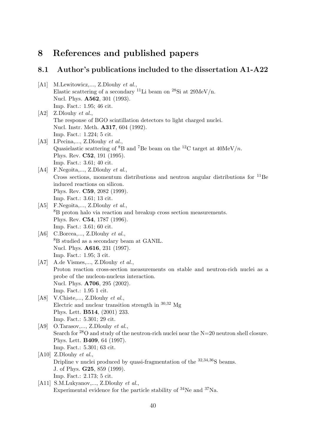# 8 References and published papers

# 8.1 Author's publications included to the dissertation A1-A22

| [A1] | M.Lewitowicz,, Z.Dlouhy et al.,                                                                         |
|------|---------------------------------------------------------------------------------------------------------|
|      | Elastic scattering of a secondary <sup>11</sup> Li beam on <sup>28</sup> Si at 29MeV/n.                 |
|      | Nucl. Phys. <b>A562</b> , 301 (1993).                                                                   |
|      | Imp. Fact.: 1.95; 46 cit.                                                                               |
| [A2] | Z.Dlouhy $et$ $al.$                                                                                     |
|      | The response of BGO scintillation detectors to light charged nuclei.                                    |
|      | Nucl. Instr. Meth. <b>A317</b> , 604 (1992).                                                            |
|      | Imp. Fact.: 1.224; 5 cit.                                                                               |
| A3   | I.Pecina,, Z.Dlouhy et al.,                                                                             |
|      | Quasielastic scattering of ${}^{8}B$ and <sup>7</sup> Be beam on the <sup>12</sup> C target at 40MeV/n. |
|      | Phys. Rev. C52, 191 (1995).                                                                             |
|      | Imp. Fact.: 3.61; 40 cit.                                                                               |
| [A4] | F.Negoita,, Z.Dlouhy et al.,                                                                            |
|      | Cross sections, momentum distributions and neutron angular distributions for ${}^{11}Be$                |
|      | induced reactions on silicon.                                                                           |
|      | Phys. Rev. C59, 2082 (1999).                                                                            |
|      | Imp. Fact.: 3.61; 13 cit.                                                                               |
| [A5] | F.Negoita,, Z.Dlouhy et al.,                                                                            |
|      | <sup>8</sup> B proton halo via reaction and breakup cross section measurements.                         |
|      | Phys. Rev. C54, 1787 (1996).                                                                            |
|      | Imp. Fact.: 3.61; 60 cit.                                                                               |
| [A6] | C.Borcea,, Z.Dlouhy et al.,                                                                             |
|      | <sup>8</sup> B studied as a secondary beam at GANIL.                                                    |
|      | Nucl. Phys. <b>A616</b> , 231 (1997).                                                                   |
|      | Imp. Fact.: 1.95; 3 cit.                                                                                |
| [A7] | A.de Vismes,, Z.Dlouhy et al.,                                                                          |
|      | Proton reaction cross-section measurements on stable and neutron-rich nuclei as a                       |
|      | probe of the nucleon-nucleus interaction.                                                               |
|      | Nucl. Phys. <b>A706</b> , 295 (2002).                                                                   |
|      | Imp. Fact.: 1.95 1 cit.                                                                                 |
| [A8] | V.Chiste,, Z.Dlouhy et al.,                                                                             |
|      | Electric and nuclear transition strength in $^{30,32}$ Mg                                               |
|      | Phys. Lett. <b>B514</b> , (2001) 233.                                                                   |
|      | Imp. Fact.: 5.301; 29 cit.                                                                              |
| [A9] | O.Tarasov,, Z.Dlouhy et al.,                                                                            |
|      | Search for $^{28}$ O and study of the neutron-rich nuclei near the N=20 neutron shell closure.          |
|      | Phys. Lett. <b>B409</b> , 64 (1997).                                                                    |
|      | Imp. Fact.: 5.301; 63 cit.                                                                              |
|      | [A10] Z.Dlouhy <i>et al.</i> ,                                                                          |
|      | Dripline v nuclei produced by quasi-fragmentation of the $32,34,36$ S beams.                            |
|      | J. of Phys. <b>G25</b> , 859 (1999).                                                                    |
|      | Imp. Fact.: 2.173; 5 cit.                                                                               |
| A11  | S.M.Lukyanov,, Z.Dlouhy et al.,                                                                         |
|      | Experimental evidence for the particle stability of $34$ Ne and $37$ Na.                                |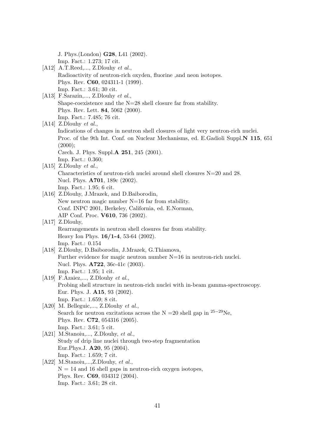J. Phys.(London) G28, L41 (2002).

- Imp. Fact.: 1.273; 17 cit.
- [A12] A.T.Reed,..., Z.Dlouhy et al., Radioactivity of neutron-rich oxyden, fluorine ,and neon isotopes. Phys. Rev. C60, 024311-1 (1999). Imp. Fact.: 3.61; 30 cit.
- [A13] F.Sarazin,..., Z.Dlouhy et al., Shape-coexistence and the N=28 shell closure far from stability. Phys. Rev. Lett. 84, 5062 (2000). Imp. Fact.: 7.485; 76 cit.
- [A14] Z.Dlouhy et al., Indications of changes in neutron shell closures of light very neutron-rich nuclei. Proc. of the 9th Int. Conf. on Nuclear Mechanisms, ed. E.Gadioli Suppl.N 115, 651  $(2000);$ Czech. J. Phys. Suppl.A 251, 245 (2001). Imp. Fact.: 0.360;
- [A15] Z.Dlouhy et al., Characteristics of neutron-rich nuclei around shell closures N=20 and 28. Nucl. Phys. A701, 189c (2002). Imp. Fact.: 1.95; 6 cit.
- [A16] Z.Dlouhy, J.Mrazek, and D.Baiborodin, New neutron magic number N=16 far from stability. Conf. INPC 2001, Berkeley, California, ed. E.Norman, AIP Conf. Proc. V610, 736 (2002).
- [A17] Z.Dlouhy, Rearrangements in neutron shell closures far from stability. Heavy Ion Phys. 16/1-4, 53-64 (2002). Imp. Fact.: 0.154
- [A18] Z.Dlouhy, D.Baiborodin, J.Mrazek, G.Thiamova, Further evidence for magic neutron number N=16 in neutron-rich nuclei. Nucl. Phys. A722, 36c-41c (2003). Imp. Fact.: 1.95; 1 cit.
- [A19] F.Azaiez,..., Z.Dlouhy et al., Probing shell structure in neutron-rich nuclei with in-beam gamma-spectroscopy. Eur. Phys. J. A15, 93 (2002). Imp. Fact.: 1.659; 8 cit.
- [A20] M. Belleguic,..., Z.Dlouhy et al., Search for neutron excitations across the N =20 shell gap in <sup>25−29</sup>Ne, Phys. Rev. C72, 054316 (2005). Imp. Fact.: 3.61; 5 cit.
- [A21] M.Stanoiu,..., Z.Dlouhy, et al., Study of drip line nuclei through two-step fragmentation Eur.Phys.J. A20, 95 (2004). Imp. Fact.: 1.659; 7 cit.
- [A22] M.Stanoiu,...,Z.Dlouhy, et al.,  $N = 14$  and 16 shell gaps in neutron-rich oxygen isotopes, Phys. Rev. C69, 034312 (2004). Imp. Fact.: 3.61; 28 cit.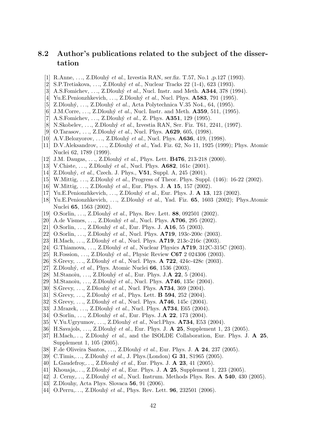## 8.2 Author's publications related to the subject of the dissertation

- [1] R.Anne, ..., Z.Dlouhý et al., Izvestia RAN, ser.fiz. T.57, No.1 ,p.127 (1993).
- [2] S.P.Tretiakova, ..., Z.Dlouhý et al., Nuclear Tracks 22 (1-4), 623 (1993).
- [3] A.S.Fomichev, ..., Z.Dlouhý et al., Nucl. Instr. and Meth.  $\mathbf{A344}$ , 378 (1994).
- [4] Yu.E.Penionzhkevich, ..., Z.Dlouhý et al., Nucl. Phys.  $\mathbf{A583}$ , 791 (1995).
- [5] Z.Dlouhý, ..., Z.Dlouhý et al., Acta Polytechnica V.35 No4., 64, (1995).
- [6] J.M.Corre, ..., Z.Dlouhý et al., Nucl. Instr. and Meth.  $\mathbf{A359}$ , 511, (1995).
- [7] A.S.Fomichev, ...,  $Z.Dlouby$  *et al.*,  $Z. Phys. A351, 129 (1995).$
- [8] N.Skobelev, ..., Z.Dlouhý et al., Izvestia RAN, Ser. Fiz. T61, 2241, (1997).
- [9] O.Tarasov, ..., Z.Dlouhý et al., Nucl. Phys. **A629**, 605, (1998).
- [10] A.V.Belozyorov, ..., Z.Dlouhý et al., Nucl. Phys.  $\mathbf{A636}$ , 419, (1998).
- [11] D.V.Aleksandrov, ..., Z.Dlouhý et al., Yad. Fiz. 62, No 11, 1925 (1999); Phys. Atomic Nuclei 62, 1789 (1999).
- [12] J.M. Daugas, ..., Z.Dlouhý et al., Phys. Lett. **B476**, 213-218 (2000).
- [13] V.Chiste, ..., Z.Dlouhý et al., Nucl. Phys.  $\mathbf{A682}$ , 161c (2001).
- [14] Z.Dlouhý, et al., Czech. J. Phys., **V51**, Suppl. A, 245 (2001).
- [15] W.Mittig, ..., Z.Dlouhý et al., Progress of Theor. Phys. Suppl.  $(146)$ : 16-22 (2002).
- [16] W.Mittig, ..., Z.Dlouhý et al., Eur. Phys. J. **A 15**, 157 (2002).
- [17] Yu.E.Penionzhkevich, ..., Z.Dlouhý et al., Eur. Phys. J. **A 13**, 123 (2002).
- [18] Yu.E.Penionzhkevich, ..., Z.Dlouhý et al., Yad. Fiz.  $65$ , 1603 (2002); Phys.Atomic Nuclei 65, 1563 (2002).
- [19] O.Sorlin, ..., Z.Dlouhý et al., Phys. Rev. Lett. 88, 092501 (2002).
- [20] A.de Vismes, ..., Z.Dlouhý et al., Nucl. Phys. **A706**, 295 (2002).
- [21] O.Sorlin, ..., Z.Dlouhý et al., Eur. Phys. J.  $\mathbf{A16}$ , 55 (2003).
- [22] O.Sorlin, ..., Z.Dlouhý et al., Nucl. Phys.  $A719$ , 193c-200c (2003).
- [23] H.Mach, ..., Z.Dlouhý et al., Nucl. Phys.  $A719$ , 213c-216c (2003).
- [24] G.Thiamova, ..., Z.Dlouhý et al., Nuclear Physics  $A719$ , 312C-315C (2003).
- [25] R.Fossion, ..., Z.Dlouhý et al., Physic Review  $C67$  2 024306 (2003).
- [26] S.Grevy, ..., Z.Dlouhý et al., Nucl. Phys. **A 722**, 424c-428c (2003).
- [27] Z.Dlouhý, et al., Phys. Atomic Nuclei 66, 1536 (2003).
- [28] M.Stanoiu, ..., Z.Dlouhý et al., Eur. Phys. J. $\bf{A}$  **22**, 5 (2004).
- [29] M.Stanoiu, ..., Z.Dlouhý et al., Nucl. Phys. **A746**, 135c (2004).
- [30] S.Grevy, ..., Z.Dlouhý et al., Nucl. Phys.  $A734$ , 369 (2004).
- [31] S.Grevy, ..., Z.Dlouhý et al., Phys. Lett. **B 594**, 252 (2004).
- [32] S.Grevy, ..., Z.Dlouhý et al., Nucl. Phys.  $\mathbf{A746}$ , 145c (2004).
- [33] J.Mrazek, ..., Z.Dlouhý et al., Nucl. Phys. **A734**, E65 (2004).
- [34] O.Sorlin, ..., Z.Dlouhý et al., Eur. Phys. J.A 22, 173 (2004).
- [35] V.Yu.Ugryumov, ..., Z.Dlouhý et al., Nucl.Phys.  $A734$ , E53 (2004).
- [36] H.Savajols, ..., Z.Dlouhý et al., Eur. Phys. J.  $\bf{A}$  **25**, Supplement 1, 23 (2005).
- [37] H.Mach,..., Z.Dlouhý et al., and the ISOLDE Collaboration, Eur. Phys. J.  $\bf{A}$  25, Supplement 1, 105 (2005).
- [38] F.de Oliveira Santos, ..., Z.Dlouhý et al., Eur. Phys. J. **A 24**, 237 (2005).
- [39] C.Timis,..., Z.Dlouhý et al., J. Phys.(London) **G 31**, S1965 (2005).
- [40] L.Gaudefroy,..., Z.Dlouhý et al., Eur. Phys. J.  $\bf{A}$  **23**, 41 (2005).
- [41] Khouaja,..., Z.Dlouhý et al., Eur. Phys. J. **A 25**, Supplement 1, 223 (2005).
- [42] J. Cerny,..., Z.Dlouhý et al., Nucl. Instrum. Methods Phys. Res. **A 540**, 430 (2005).
- [43] Z.Dlouhy, Acta Phys. Slovaca **56**, 91 (2006).
- [44] O.Perru,..., Z.Dlouhý et al., Phys. Rev. Lett.  $96, 232501$  (2006).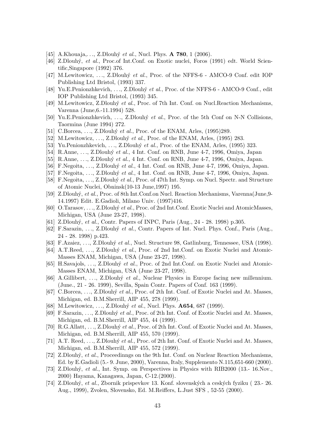- [45] A.Khouaja,..., Z.Dlouhý et al., Nucl. Phys.  $\bf{A}$  **780**, 1 (2006).
- [46] Z.Dlouhý, et al., Proc.of Int.Conf. on Exotic nuclei, Foros (1991) edt. World Scientific,Singapore (1992) 376.
- [47] M.Lewitowicz, ..., Z.Dlouhý et al., Proc. of the NFFS-6 AMCO-9 Conf. edit IOP Publishing Ltd Bristol, (1993) 337.
- [48] Yu.E.Penionzhkevich, ..., Z.Dlouhý et al., Proc. of the NFFS-6 AMCO-9 Conf., edit IOP Publishing Ltd Bristol, (1993) 345.
- [49] M.Lewitowicz, Z.Dlouhý et al., Proc. of 7th Int. Conf. on Nucl.Reaction Mechanisms, Varenna (June,6.-11.1994) 528.
- [50] Yu.E.Penionzhkevich, ..., Z.Dlouhý et al., Proc. of the 5th Conf on N-N Collisions, Taormina (June 1994) 272.
- [51] C.Borcea, ..., Z.Dlouhý et al., Proc. of the ENAM, Arles,  $(1995)289$ .
- [52] M.Lewitowicz, ..., Z.Dlouhý et al., Proc. of the ENAM, Arles,  $(1995)$  283.
- [53] Yu.Penionzhkevich, ..., Z.Dlouhý et al., Proc. of the ENAM, Arles, (1995) 323.
- [54] R.Anne, ..., Z.Dlouhý et al., 4 Int. Conf. on RNB, June 4-7, 1996, Omiya, Japan
- [55] R.Anne, ..., Z.Dlouhý et al., 4 Int. Conf. on RNB, June 4-7, 1996, Omiya, Japan.
- [56] F.Negoita, ..., Z.Dlouhý et al., 4 Int. Conf. on RNB, June 4-7, 1996, Omiya, Japan.
- [57] F.Negoita, ..., Z.Dlouhý et al., 4 Int. Conf. on RNB, June 4-7, 1996, Omiya, Japan.
- [58] F.Negoita, ..., Z.Dlouhý et al., Proc. of 47th Int. Symp. on Nucl. Spectr. and Structure of Atomic Nuclei, Obninsk(10-13 June,1997) 195.
- [59] Z.Dlouh´y, et al., Proc. of 8th Int.Conf.on Nucl. Reaction Mechanisms, Varenna(June,9- 14.1997) Edit. E.Gadioli, Milano Univ. (1997)416.
- [60] O.Tarasov, ..., Z.Dlouhý et al., Proc. of 2nd Int.Conf. Exotic Nuclei and AtomicMasses, Michigan, USA (June 23-27, 1998).
- [61] Z.Dlouhý, *et al.*, Contr. Papers of INPC, Paris (Aug., 24 28. 1998) p.305.
- [62] F.Sarazin, ..., Z.Dlouhý et al., Contr. Papers of Int. Nucl. Phys. Conf., Paris (Aug., 24 - 28. 1998) p.423.
- [63] F.Azaiez, ..., Z.Dlouhý et al., Nucl. Structure 98, Gatlinburg, Tennessee, USA (1998).
- [64] A.T.Reed, ..., Z.Dlouhý et al., Proc. of 2nd Int.Conf. on Exotic Nuclei and Atomic-Masses ENAM, Michigan, USA (June 23-27, 1998).
- [65] H.Savajols, ..., Z.Dlouhý et al., Proc. of 2nd Int.Conf. on Exotic Nuclei and Atomic-Masses ENAM, Michigan, USA (June 23-27, 1998).
- [66] A.Gillibert, ..., Z.Dlouhý et al., Nuclear Physics in Europe facing new millennium. (June., 21 - 26. 1999), Sevilla, Spain Contr. Papers of Conf. 163 (1999).
- [67] C.Borcea, ..., Z.Dlouhý et al., Proc. of 2th Int. Conf. of Exotic Nuclei and At. Masses, Michigan, ed. B.M.Sherrill, AIP 455, 278 (1999).
- [68] M.Lewitowicz, ..., Z.Dlouhý et al., Nucl. Phys.  $\mathbf{A654}$ , 687 (1999).
- [69] F.Sarazin, ..., Z.Dlouhý et al., Proc. of 2th Int. Conf. of Exotic Nuclei and At. Masses, Michigan, ed. B.M.Sherrill, AIP 455, 44 (1999).
- [70] R.G.Allatt, ..., Z.Dlouhý et al., Proc. of 2th Int. Conf. of Exotic Nuclei and At. Masses, Michigan, ed. B.M.Sherrill, AIP 455, 570 (1999).
- [71] A.T. Reed, ..., Z.Dlouhý et al., Proc. of 2th Int. Conf. of Exotic Nuclei and At. Masses, Michigan, ed. B.M.Sherrill, AIP 455, 572 (1999).
- [72] Z.Dlouh´y, et al., Proceedinngs on the 9th Int. Conf. on Nuclear Reaction Mechanisms, Ed. by E.Gadioli (5.- 9. June, 2000), Varenna, Italy, Supplemento N.115,651-660 (2000).
- [73] Z.Dlouhý, et al., Int. Symp. on Perspectives in Physics with RIB2000 (13.-16.Nov., 2000) Hayama, Kanagawa, Japan, C-12.(2000).
- [74] Z.Dlouh´y, et al., Zbornik prispevkov 13. Konf. slovensk´ych a cesk´ych fyziku ( 23.- 26. Aug., 1999), Zvolen, Slovensko, Ed. M.Reiffers, L.Just SFS , 52-55 (2000).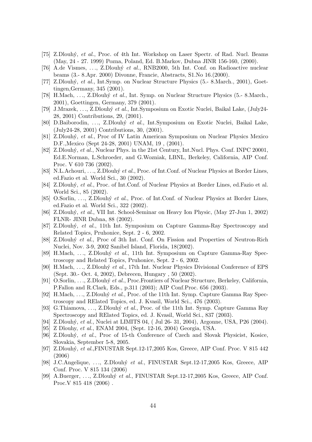- [75] Z.Dlouhý, et al., Proc. of 4th Int. Workshop on Laser Spectr. of Rad. Nucl. Beams (May, 24 - 27. 1999) Pozna, Poland, Ed. B.Markov, Dubna JINR 156-160, (2000).
- [76] A.de Vismes, ..., Z.Dlouhý et al., RNB2000, 5th Int. Conf. on Radioactive nuclear beams (3.- 8.Apr. 2000) Divonne, Francie, Abstracts, S1.No 16.(2000).
- [77] Z.Dlouhý, et al., Int.Symp. on Nuclear Structure Physics (5.-8.March., 2001), Goettingen,Germany, 345 (2001).
- [78] H.Mach, ..., Z.Dlouhý et al., Int. Symp. on Nuclear Structure Physics (5.- 8.March., 2001), Goettingen, Germany, 379 (2001).
- [79] J.Mrazek, . . ., Z.Dlouh´y et al., Int.Symposium on Exotic Nuclei, Baikal Lake, (July24- 28, 2001) Contributions, 29, (2001).
- [80] D.Baiborodin, ..., Z.Dlouhý et al., Int.Symposium on Exotic Nuclei, Baikal Lake, (July24-28, 2001) Contributions, 30, (2001).
- [81] Z.Dlouh´y, et al., Proc of IV Latin American Symposium on Nuclear Physics Mexico D.F.,Mexico (Sept 24-28, 2001) UNAM, 19 , (2001).
- [82] Z.Dlouhý, et al., Nuclear Phys. in the 21st Century, Int.Nucl. Phys. Conf. INPC 20001, Ed.E.Norman, L.Schroeder, and G.Wozniak, LBNL, Berkeley, California, AIP Conf. Proc. V 610 736 (2002).
- [83] N.L.Achouri, ..., Z.Dlouhý et al., Proc. of Int.Conf. of Nuclear Physics at Border Lines, ed.Fazio et al. World Sci., 30 (2002).
- [84] Z.Dlouhý, et al., Proc. of Int.Conf. of Nuclear Physics at Border Lines, ed.Fazio et al. World Sci., 85 (2002).
- [85] O.Sorlin, ..., Z.Dlouhý et al., Proc. of Int.Conf. of Nuclear Physics at Border Lines, ed.Fazio et al. World Sci., 322 (2002).
- [86] Z.Dlouh´y, et al., VII Int. School-Seminar on Heavy Ion Physic, (May 27-Jun 1, 2002) FLNR- JINR Dubna, 88 (2002).
- [87] Z.Dlouh´y, et al., 11th Int. Symposium on Capture Gamma-Ray Spectroscopy and Related Topics, Pruhonice, Sept. 2 - 6, 2002.
- [88] Z.Dlouhý et al., Proc of 3th Int. Conf. On Fission and Properties of Neutron-Rich Nuclei, Nov. 3-9, 2002 Sanibel Island, Florida, 18(2002).
- [89] H.Mach, ..., Z.Dlouhý et al., 11th Int. Symposium on Capture Gamma-Ray Spectroscopy and Related Topics, Pruhonice, Sept. 2 - 6, 2002.
- [90] H.Mach, ..., Z.Dlouhý et al., 17th Int. Nuclear Physics Divisional Conference of EPS (Sept. 30.- Oct. 4, 2002), Debrecen, Hungary , 50 (2002).
- [91] O.Sorlin, ..., Z.Dlouhý et al., Proc.Frontiers of Nuclear Structure, Berkeley, California, P.Fallon and R.Clark, Eds., p.311 (2003); AIP Conf.Proc. 656 (2003).
- [92] H.Mach, ..., Z.Dlouhý et al., Proc. of the 11th Int. Symp. Capture Gamma Ray Spectroscopy and RElated Topics, ed. J. Kvasil, World Sci., 476 (2003).
- [93] G.Thiamova, ..., Z.Dlouhý et al., Proc. of the 11th Int. Symp. Capture Gamma Ray Spectroscopy and RElated Topics, ed. J. Kvasil, World Sci., 837 (2003).
- [94] Z.Dlouhý, et al., Nuclei at LIMITS 04, (Jul 26- 31, 2004), Argonne, USA, P26 (2004).
- [95] Z Dlouhy, et al., ENAM 2004, (Sept. 12-16, 2004) Georgia, USA.
- [96] Z.Dlouhý, et al., Proc of 15-th Conference of Czech and Slovak Physicist, Kosice, Slovakia, September 5-8, 2005.
- [97] Z.Dlouhý, et al.,FINUSTAR Sept.12-17,2005 Kos, Greece, AIP Conf. Proc. V 815 442 (2006)
- [98] J.C.Angelique, ..., Z.Dlouhý et al., FINUSTAR Sept.12-17,2005 Kos, Greece, AIP Conf. Proc. V 815 134 (2006)
- [99] A.Buerger, ..., Z.Dlouhý et al., FINUSTAR Sept.12-17,2005 Kos, Greece, AIP Conf. Proc.V 815 418 (2006) .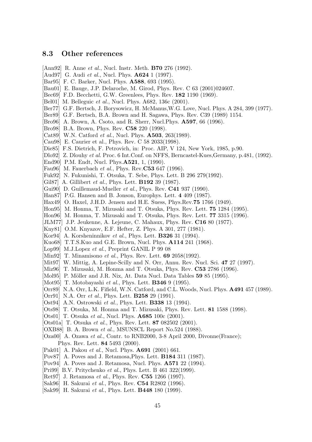### 8.3 Other references

- [Ann92] R. Anne et al., Nucl. Instr. Meth. **B70** 276 (1992).
- [Aud97] G. Audi et al., Nucl. Phys.  $\mathbf{A624}$  1 (1997).
- [Bar95] F. C. Barker, Nucl. Phys. **A588**, 693 (1995).
- [Bau01] E. Bauge, J.P. Delaroche, M. Girod, Phys. Rev. C 63 (2001)024607.
- [Bec69] F.D. Becchetti, G.W. Greenlees, Phys. Rev.  $182$  1190 (1969).
- [Bel01] M. Belleguic *et al.*, Nucl. Phys. A682, 136c (2001).
- [Ber77] G.F. Bertsch, J. Borysowicz, H. McManus,W.G. Love, Nucl. Phys. A 284, 399 (1977).
- [Ber89] G.F. Bertsch, B.A. Brown and H. Sagawa, Phys. Rev. C39 (1989) 1154.
- [Bro96] A. Brown, A. Csoto, and R. Sherr, Nucl. Phys. **A597**, 66 (1996).
- [Bro98] B.A. Brown, Phys. Rev. C58 220 (1998).
- [Cat89] W.N. Catford *et al.*, Nucl. Phys.  $A503$ , 263(1989).
- [Cau98] E. Caurier et al., Phys. Rev. C 58 2033(1998).
- [Die85] F.S. Dietrich, F. Petrovich, in: Proc. AIP, V 124, New York, 1985, p.90.
- [Dlo92] Z. Dlouhy et al. Proc. 6 Int. Conf. on NFFS, Berncastel-Kues, Germany, p.481, (1992).
- [End90] P.M. Endt, Nucl. Phys. **A521**, 1, (1990).
- [Fau96] M. Fauerbach et al., Phys. Rev. $C53$  647 (1996).
- [Fuk92] N. Fukunishi, T. Otsuka, T. Sebe, Phys. Lett. B 296 279(1992).
- [Gil87] A. Gillibert et al., Phys. Lett.  $\bf{B192}$  39 (1987).
- [Gui90] D. Guillemaud-Mueller  $et \ al.$ , Phys. Rev.  $C41$  937 (1990).
- [Han87] P.G. Hansen and B. Jonson, Europhys. Lett. 4 409 (1987).
- [Hax49] O. Haxel, J.H.D. Jensen and H.E. Suess, Phys.Rev.75 1766 (1949).
- [Hon95] M. Honma, T. Mizusaki and T. Otsuka, Phys. Rev. Lett. 75 1284 (1995).
- [Hon96] M. Honma, T. Mizusaki and T. Otsuka, Phys. Rev. Lett. 77 3315 (1996).
- [JLM77] J.P. Jeukenne, A. Lejeune, C. Mahaux, Phys. Rev. C16 80 (1977).
- [Kny81] O.M. Knyazov, E.F. Hefter, Z. Phys. A 301, 277 (1981).
- [Kor94] A. Korsheninnikov et al., Phys. Lett. **B326** 31 (1994).
- [Kuo68] T.T.S.Kuo and G.E. Brown, Nucl. Phys. A114 241 (1968).
- [Lop99] M.J.Lopez et al., Preprint GANIL P 99 08
- [Min92] T. Minamisono *et al.*, Phys. Rev. Lett.  $69\ 2058(1992)$ .
- [Mit97] W. Mittig, A. Lepine-Scilly and N. Orr, Annu. Rev. Nucl. Sci. 47 27 (1997).
- [Miz96] T. Mizusaki, M. Honma and T. Otsuka, Phys. Rev. C53 2786 (1996).
- [Mol95] P. Möller and J.R. Nix, At. Data Nucl. Data Tables 59 85 (1995).
- [Mot95] T. Motobayashi *et al.*, Phys. Lett. **B346** 9 (1995).
- [Orr89] N.A. Orr, L.K. Fifield, W.N. Catford, and C.L. Woods, Nucl. Phys. A491 457 (1989).
- [Orr91] N.A. Orr *et al.*, Phys. Lett. **B258** 29 (1991).
- [Ost94] A.N. Ostrowski et al., Phys. Lett. **B338** 13 (1994).
- [Ots98] T. Otsuka, M. Honma and T. Mizusaki, Phys. Rev. Lett. 81 1588 (1998).
- [Ots01] T. Otsuka *et al.*, Nucl. Phys.  $\mathbf{A685}$  100c (2001).
- [Ots01a] T. Otsuka et al., Phys. Rev. Lett. 87 082502 (2001).
- [OXB88] B. A. Brown et al., MSUNSCL Report No.524 (1988).
- [Oza00] A. Ozawa et al., Contr. to RNB2000, 3-8 April 2000, Divonne(France); Phys. Rev. Lett. 84 5493 (2000).
- [Pak01] A. Pakou et al., Nucl. Phys. **A691** (2001) 661.
- [Pov87] A. Poves and J. Retamosa,Phys. Lett. B184 311 (1987).
- [Pov94] A. Poves and J. Retamosa, Nucl. Phys. A571 22 (1994).
- [Pri99] B.V. Pritychenko et al., Phys. Lett. B 461 322(1999).
- [Ret97] J. Retamosa *et al.*, Phys. Rev.  $C55$  1266 (1997).
- [Sak96] H. Sakurai et al., Phys. Rev. **C54** R2802 (1996).
- [Sak99] H. Sakurai et al., Phys. Lett. B448 180 (1999).